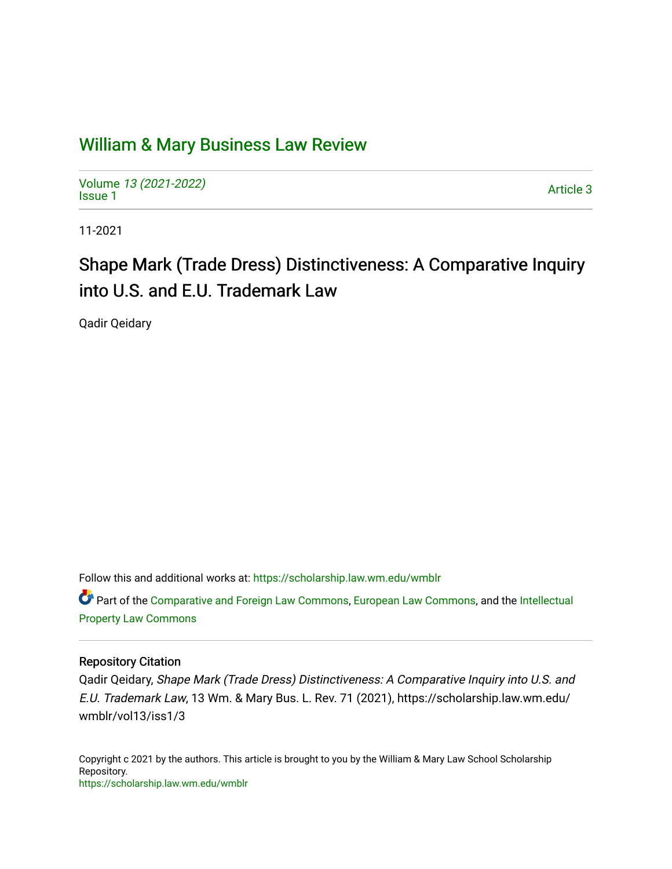# [William & Mary Business Law Review](https://scholarship.law.wm.edu/wmblr)

Volume [13 \(2021-2022\)](https://scholarship.law.wm.edu/wmblr/vol13)  volume 15 (2021-2022)<br>[Issue 1](https://scholarship.law.wm.edu/wmblr/vol13/iss1)

11-2021

# Shape Mark (Trade Dress) Distinctiveness: A Comparative Inquiry into U.S. and E.U. Trademark Law

Qadir Qeidary

Follow this and additional works at: [https://scholarship.law.wm.edu/wmblr](https://scholarship.law.wm.edu/wmblr?utm_source=scholarship.law.wm.edu%2Fwmblr%2Fvol13%2Fiss1%2F3&utm_medium=PDF&utm_campaign=PDFCoverPages) 

Part of the [Comparative and Foreign Law Commons,](http://network.bepress.com/hgg/discipline/836?utm_source=scholarship.law.wm.edu%2Fwmblr%2Fvol13%2Fiss1%2F3&utm_medium=PDF&utm_campaign=PDFCoverPages) [European Law Commons,](http://network.bepress.com/hgg/discipline/1084?utm_source=scholarship.law.wm.edu%2Fwmblr%2Fvol13%2Fiss1%2F3&utm_medium=PDF&utm_campaign=PDFCoverPages) and the [Intellectual](http://network.bepress.com/hgg/discipline/896?utm_source=scholarship.law.wm.edu%2Fwmblr%2Fvol13%2Fiss1%2F3&utm_medium=PDF&utm_campaign=PDFCoverPages)  [Property Law Commons](http://network.bepress.com/hgg/discipline/896?utm_source=scholarship.law.wm.edu%2Fwmblr%2Fvol13%2Fiss1%2F3&utm_medium=PDF&utm_campaign=PDFCoverPages)

#### Repository Citation

Qadir Qeidary, Shape Mark (Trade Dress) Distinctiveness: A Comparative Inquiry into U.S. and E.U. Trademark Law, 13 Wm. & Mary Bus. L. Rev. 71 (2021), https://scholarship.law.wm.edu/ wmblr/vol13/iss1/3

Copyright c 2021 by the authors. This article is brought to you by the William & Mary Law School Scholarship Repository. <https://scholarship.law.wm.edu/wmblr>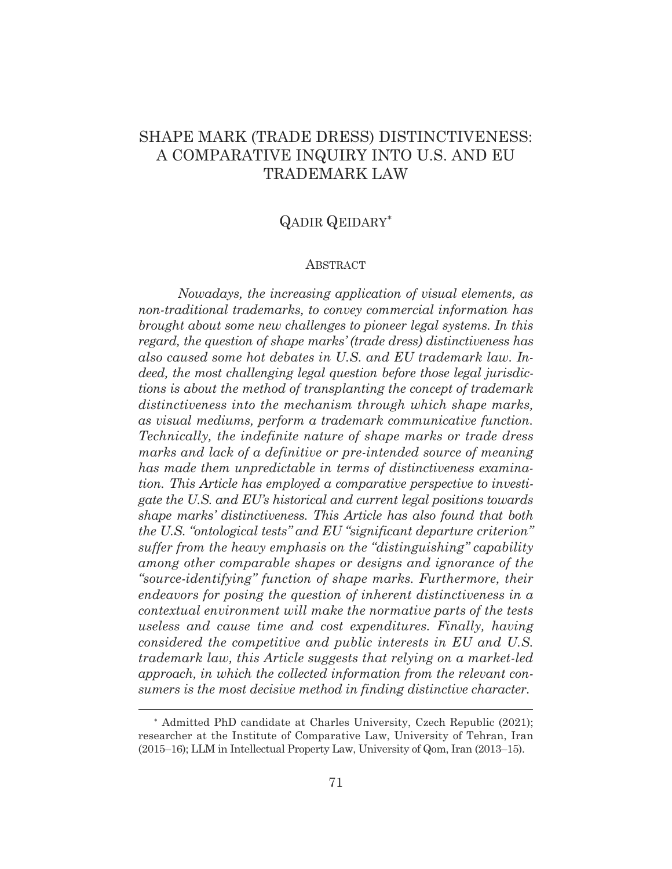## SHAPE MARK (TRADE DRESS) DISTINCTIVENESS: A COMPARATIVE INQUIRY INTO U.S. AND EU TRADEMARK LAW

## QADIR QEIDARY

#### ABSTRACT

*Nowadays, the increasing application of visual elements, as non-traditional trademarks, to convey commercial information has brought about some new challenges to pioneer legal systems. In this regard, the question of shape marks' (trade dress) distinctiveness has also caused some hot debates in U.S. and EU trademark law. Indeed, the most challenging legal question before those legal jurisdictions is about the method of transplanting the concept of trademark distinctiveness into the mechanism through which shape marks, as visual mediums, perform a trademark communicative function. Technically, the indefinite nature of shape marks or trade dress marks and lack of a definitive or pre-intended source of meaning has made them unpredictable in terms of distinctiveness examination. This Article has employed a comparative perspective to investigate the U.S. and EU's historical and current legal positions towards shape marks' distinctiveness. This Article has also found that both the U.S. "ontological tests" and EU "significant departure criterion" suffer from the heavy emphasis on the "distinguishing" capability among other comparable shapes or designs and ignorance of the "source-identifying" function of shape marks. Furthermore, their endeavors for posing the question of inherent distinctiveness in a contextual environment will make the normative parts of the tests useless and cause time and cost expenditures. Finally, having considered the competitive and public interests in EU and U.S. trademark law, this Article suggests that relying on a market-led approach, in which the collected information from the relevant consumers is the most decisive method in finding distinctive character.* 

 Admitted PhD candidate at Charles University, Czech Republic (2021); researcher at the Institute of Comparative Law, University of Tehran, Iran (2015–16); LLM in Intellectual Property Law, University of Qom, Iran (2013–15).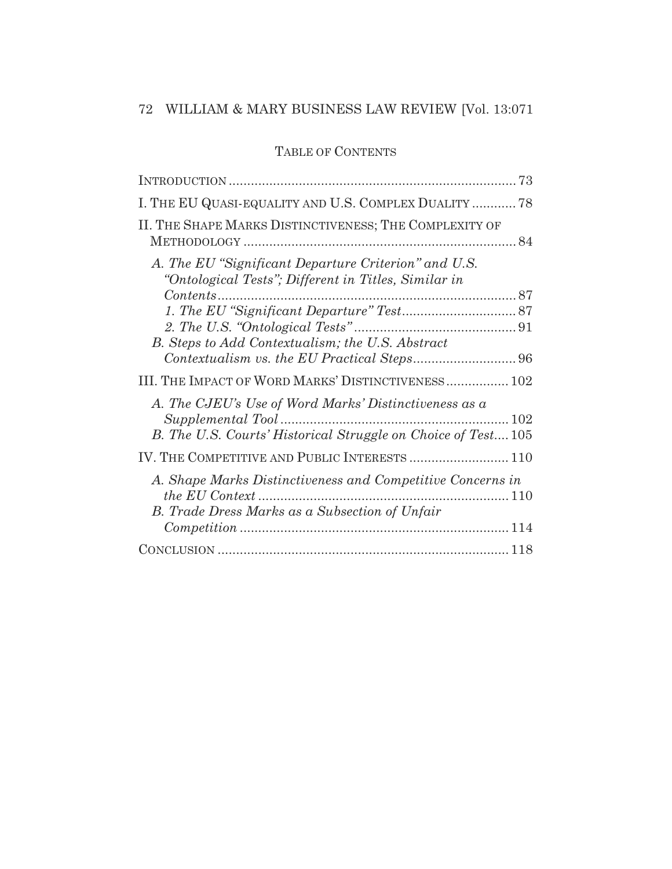## TABLE OF CONTENTS

| I. THE EU QUASI-EQUALITY AND U.S. COMPLEX DUALITY  78                                                                 |
|-----------------------------------------------------------------------------------------------------------------------|
| II. THE SHAPE MARKS DISTINCTIVENESS; THE COMPLEXITY OF                                                                |
| A. The EU "Significant Departure Criterion" and U.S.<br>"Ontological Tests"; Different in Titles, Similar in          |
| B. Steps to Add Contextualism; the U.S. Abstract                                                                      |
| III. THE IMPACT OF WORD MARKS' DISTINCTIVENESS 102                                                                    |
| A. The CJEU's Use of Word Marks' Distinctiveness as a<br>B. The U.S. Courts' Historical Struggle on Choice of Test105 |
| IV. THE COMPETITIVE AND PUBLIC INTERESTS  110                                                                         |
| A. Shape Marks Distinctiveness and Competitive Concerns in<br>B. Trade Dress Marks as a Subsection of Unfair          |
|                                                                                                                       |
|                                                                                                                       |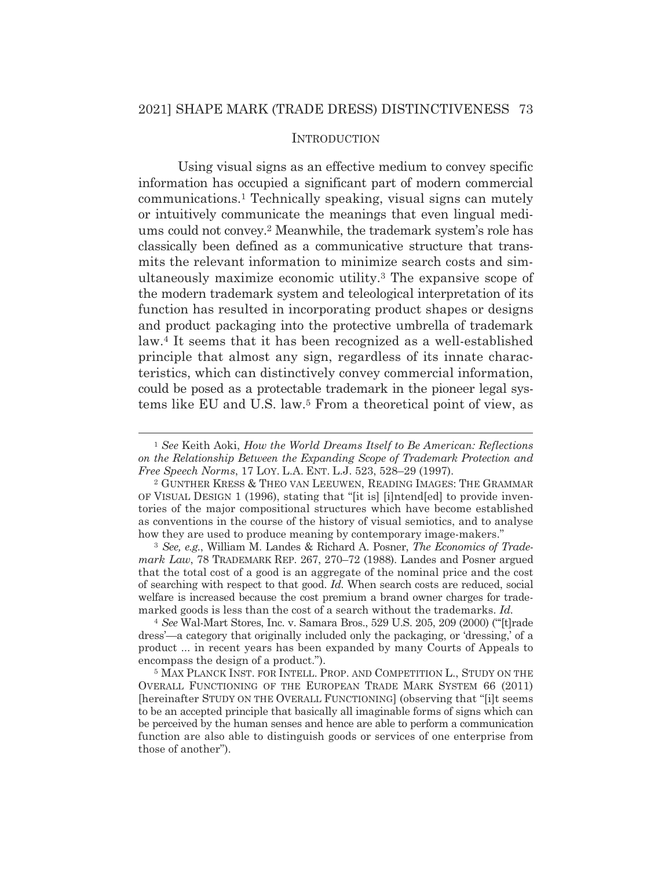#### **INTRODUCTION**

Using visual signs as an effective medium to convey specific information has occupied a significant part of modern commercial communications.1 Technically speaking, visual signs can mutely or intuitively communicate the meanings that even lingual mediums could not convey.2 Meanwhile, the trademark system's role has classically been defined as a communicative structure that transmits the relevant information to minimize search costs and simultaneously maximize economic utility.3 The expansive scope of the modern trademark system and teleological interpretation of its function has resulted in incorporating product shapes or designs and product packaging into the protective umbrella of trademark law.4 It seems that it has been recognized as a well-established principle that almost any sign, regardless of its innate characteristics, which can distinctively convey commercial information, could be posed as a protectable trademark in the pioneer legal systems like EU and U.S. law.5 From a theoretical point of view, as

<sup>3</sup> *See, e.g.*, William M. Landes & Richard A. Posner, *The Economics of Trademark Law*, 78 TRADEMARK REP. 267, 270–72 (1988). Landes and Posner argued that the total cost of a good is an aggregate of the nominal price and the cost of searching with respect to that good. *Id.* When search costs are reduced, social welfare is increased because the cost premium a brand owner charges for trademarked goods is less than the cost of a search without the trademarks. *Id.* 

<sup>4</sup> *See* Wal-Mart Stores, Inc. v. Samara Bros., 529 U.S. 205, 209 (2000) ("'[t]rade dress'—a category that originally included only the packaging, or 'dressing,' of a product ... in recent years has been expanded by many Courts of Appeals to encompass the design of a product.").

5 MAX PLANCK INST. FOR INTELL. PROP. AND COMPETITION L., STUDY ON THE OVERALL FUNCTIONING OF THE EUROPEAN TRADE MARK SYSTEM 66 (2011) [hereinafter STUDY ON THE OVERALL FUNCTIONING] (observing that "[i]t seems to be an accepted principle that basically all imaginable forms of signs which can be perceived by the human senses and hence are able to perform a communication function are also able to distinguish goods or services of one enterprise from those of another").

<sup>1</sup> *See* Keith Aoki, *How the World Dreams Itself to Be American: Reflections on the Relationship Between the Expanding Scope of Trademark Protection and Free Speech Norms*, 17 LOY. L.A. ENT. L.J. 523, 528–29 (1997).<br><sup>2</sup> GUNTHER KRESS & THEO VAN LEEUWEN, READING IMAGES: THE GRAMMAR

OF VISUAL DESIGN 1 (1996), stating that "[it is] [i]ntend[ed] to provide inventories of the major compositional structures which have become established as conventions in the course of the history of visual semiotics, and to analyse how they are used to produce meaning by contemporary image-makers."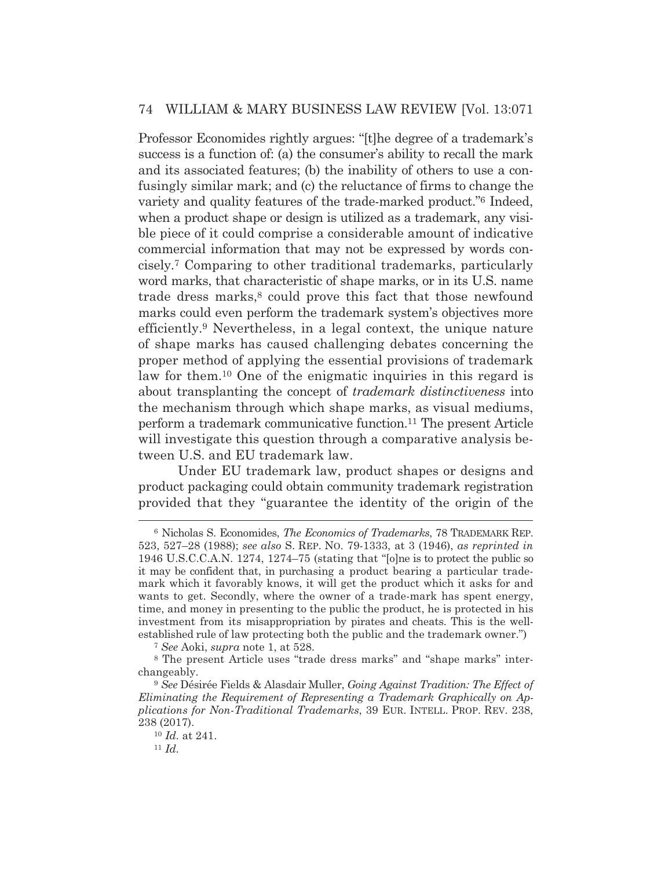Professor Economides rightly argues: "[t]he degree of a trademark's success is a function of: (a) the consumer's ability to recall the mark and its associated features; (b) the inability of others to use a confusingly similar mark; and (c) the reluctance of firms to change the variety and quality features of the trade-marked product."6 Indeed, when a product shape or design is utilized as a trademark, any visible piece of it could comprise a considerable amount of indicative commercial information that may not be expressed by words concisely.7 Comparing to other traditional trademarks, particularly word marks, that characteristic of shape marks, or in its U.S. name trade dress marks,<sup>8</sup> could prove this fact that those newfound marks could even perform the trademark system's objectives more efficiently.9 Nevertheless, in a legal context, the unique nature of shape marks has caused challenging debates concerning the proper method of applying the essential provisions of trademark law for them.10 One of the enigmatic inquiries in this regard is about transplanting the concept of *trademark distinctiveness* into the mechanism through which shape marks, as visual mediums, perform a trademark communicative function.11 The present Article will investigate this question through a comparative analysis between U.S. and EU trademark law.

 Under EU trademark law, product shapes or designs and product packaging could obtain community trademark registration provided that they "guarantee the identity of the origin of the

<sup>7</sup> *See* Aoki, *supra* note 1, at 528.

<sup>6</sup> Nicholas S. Economides, *The Economics of Trademarks*, 78 TRADEMARK REP. 523, 527–28 (1988); *see also* S. REP. NO. 79-1333, at 3 (1946), *as reprinted in*  1946 U.S.C.C.A.N. 1274, 1274–75 (stating that "[o]ne is to protect the public so it may be confident that, in purchasing a product bearing a particular trademark which it favorably knows, it will get the product which it asks for and wants to get. Secondly, where the owner of a trade-mark has spent energy, time, and money in presenting to the public the product, he is protected in his investment from its misappropriation by pirates and cheats. This is the wellestablished rule of law protecting both the public and the trademark owner.")

<sup>8</sup> The present Article uses "trade dress marks" and "shape marks" interchangeably.

<sup>9</sup> *See* Désirée Fields & Alasdair Muller, *Going Against Tradition: The Effect of Eliminating the Requirement of Representing a Trademark Graphically on Applications for Non-Traditional Trademarks*, 39 EUR. INTELL. PROP. REV. 238, 238 (2017).

<sup>10</sup> *Id.* at 241. 11 *Id.*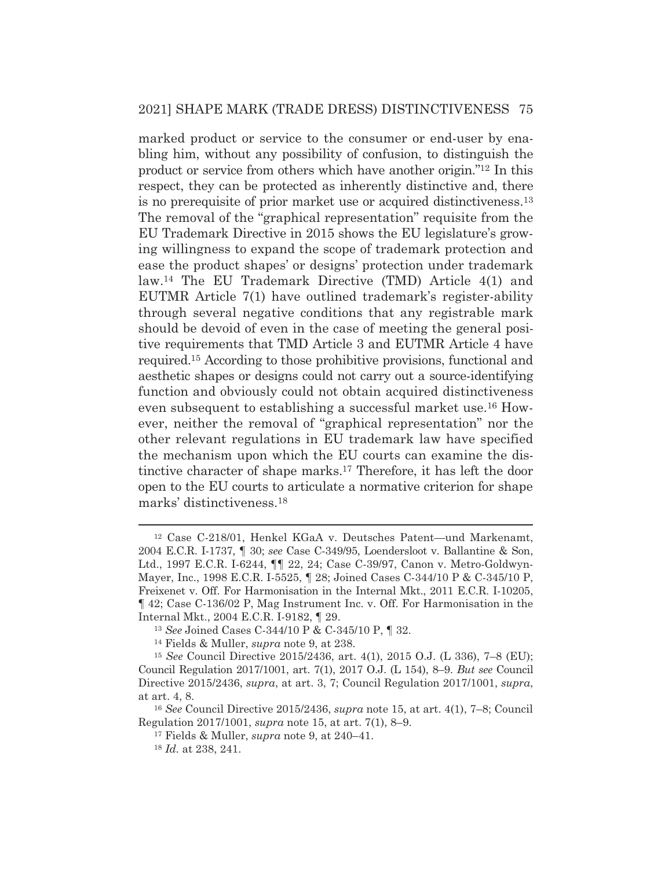marked product or service to the consumer or end-user by enabling him, without any possibility of confusion, to distinguish the product or service from others which have another origin."12 In this respect, they can be protected as inherently distinctive and, there is no prerequisite of prior market use or acquired distinctiveness.13 The removal of the "graphical representation" requisite from the EU Trademark Directive in 2015 shows the EU legislature's growing willingness to expand the scope of trademark protection and ease the product shapes' or designs' protection under trademark law.14 The EU Trademark Directive (TMD) Article 4(1) and EUTMR Article 7(1) have outlined trademark's register-ability through several negative conditions that any registrable mark should be devoid of even in the case of meeting the general positive requirements that TMD Article 3 and EUTMR Article 4 have required.15 According to those prohibitive provisions, functional and aesthetic shapes or designs could not carry out a source-identifying function and obviously could not obtain acquired distinctiveness even subsequent to establishing a successful market use.16 However, neither the removal of "graphical representation" nor the other relevant regulations in EU trademark law have specified the mechanism upon which the EU courts can examine the distinctive character of shape marks.17 Therefore, it has left the door open to the EU courts to articulate a normative criterion for shape marks' distinctiveness.18

<sup>12</sup> Case C-218/01, Henkel KGaA v. Deutsches Patent—und Markenamt, 2004 E.C.R. I-1737, ¶ 30; *see* Case C-349/95, Loendersloot v. Ballantine & Son, Ltd., 1997 E.C.R. I-6244, ¶¶ 22, 24; Case C-39/97, Canon v. Metro-Goldwyn-Mayer, Inc., 1998 E.C.R. I-5525, ¶ 28; Joined Cases C-344/10 P & C-345/10 P, Freixenet v. Off. For Harmonisation in the Internal Mkt., 2011 E.C.R. I-10205, ¶ 42; Case C-136/02 P, Mag Instrument Inc. v. Off. For Harmonisation in the Internal Mkt., 2004 E.C.R. I-9182, ¶ 29.

<sup>13</sup> *See* Joined Cases C-344/10 P & C-345/10 P, ¶ 32. 14 Fields & Muller, *supra* note 9, at 238.

<sup>15</sup> *See* Council Directive 2015/2436, art. 4(1), 2015 O.J. (L 336), 7–8 (EU); Council Regulation 2017/1001, art. 7(1), 2017 O.J. (L 154), 8–9. *But see* Council Directive 2015/2436, *supra*, at art. 3, 7; Council Regulation 2017/1001, *supra*, at art. 4, 8.

<sup>16</sup> *See* Council Directive 2015/2436, *supra* note 15, at art. 4(1), 7–8; Council Regulation 2017/1001, *supra* note 15, at art. 7(1), 8–9.

<sup>17</sup> Fields & Muller, *supra* note 9, at 240–41.

<sup>18</sup> *Id.* at 238, 241.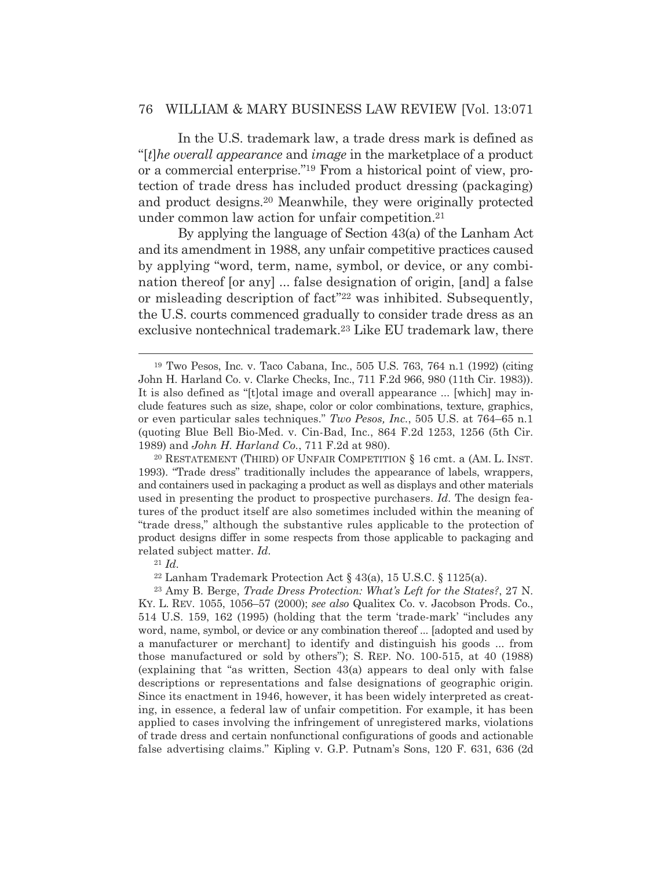In the U.S. trademark law, a trade dress mark is defined as "[*t*]*he overall appearance* and *image* in the marketplace of a product or a commercial enterprise."19 From a historical point of view, protection of trade dress has included product dressing (packaging) and product designs.20 Meanwhile, they were originally protected under common law action for unfair competition.21

 By applying the language of Section 43(a) of the Lanham Act and its amendment in 1988, any unfair competitive practices caused by applying "word, term, name, symbol, or device, or any combination thereof [or any] ... false designation of origin, [and] a false or misleading description of fact"22 was inhibited. Subsequently, the U.S. courts commenced gradually to consider trade dress as an exclusive nontechnical trademark.23 Like EU trademark law, there

20 RESTATEMENT (THIRD) OF UNFAIR COMPETITION § 16 cmt. a (AM. L. INST. 1993). "Trade dress" traditionally includes the appearance of labels, wrappers, and containers used in packaging a product as well as displays and other materials used in presenting the product to prospective purchasers. *Id.* The design features of the product itself are also sometimes included within the meaning of "trade dress," although the substantive rules applicable to the protection of product designs differ in some respects from those applicable to packaging and related subject matter. *Id.*

<sup>21</sup> *Id.*

<sup>22</sup> Lanham Trademark Protection Act § 43(a), 15 U.S.C. § 1125(a).

23 Amy B. Berge, *Trade Dress Protection: What's Left for the States?*, 27 N. KY. L. REV. 1055, 1056–57 (2000); *see also* Qualitex Co. v. Jacobson Prods. Co., 514 U.S. 159, 162 (1995) (holding that the term 'trade-mark' "includes any word, name, symbol, or device or any combination thereof ... [adopted and used by a manufacturer or merchant] to identify and distinguish his goods ... from those manufactured or sold by others"); S. REP. NO. 100-515, at 40 (1988) (explaining that "as written, Section 43(a) appears to deal only with false descriptions or representations and false designations of geographic origin. Since its enactment in 1946, however, it has been widely interpreted as creating, in essence, a federal law of unfair competition. For example, it has been applied to cases involving the infringement of unregistered marks, violations of trade dress and certain nonfunctional configurations of goods and actionable false advertising claims." Kipling v. G.P. Putnam's Sons, 120 F. 631, 636 (2d

<sup>19</sup> Two Pesos, Inc. v. Taco Cabana, Inc., 505 U.S. 763, 764 n.1 (1992) (citing John H. Harland Co. v. Clarke Checks, Inc., 711 F.2d 966, 980 (11th Cir. 1983)). It is also defined as "[t]otal image and overall appearance ... [which] may include features such as size, shape, color or color combinations, texture, graphics, or even particular sales techniques." *Two Pesos, Inc.*, 505 U.S. at 764–65 n.1 (quoting Blue Bell Bio-Med. v. Cin-Bad, Inc., 864 F.2d 1253, 1256 (5th Cir. 1989) and *John H. Harland Co.*, 711 F.2d at 980).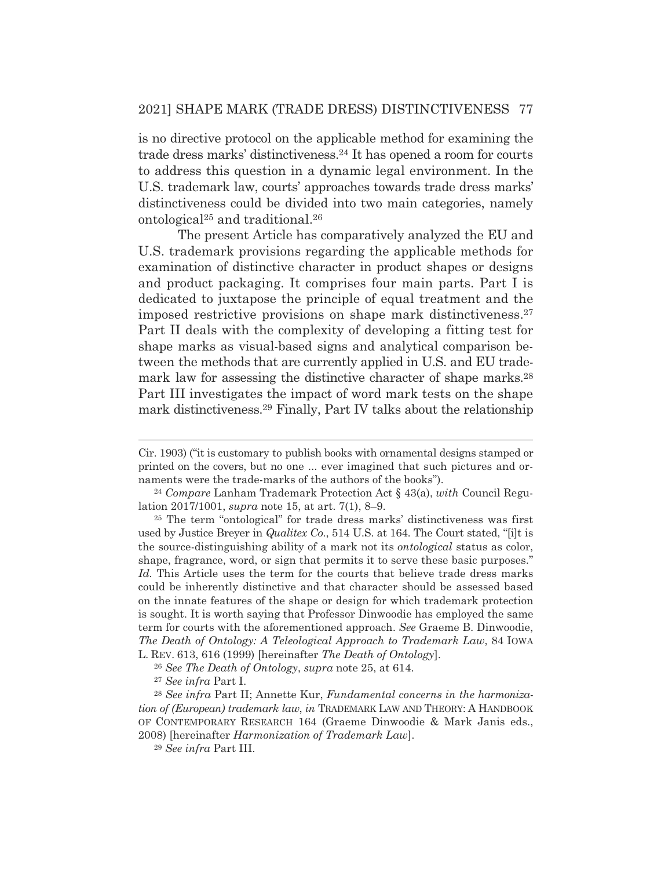is no directive protocol on the applicable method for examining the trade dress marks' distinctiveness.24 It has opened a room for courts to address this question in a dynamic legal environment. In the U.S. trademark law, courts' approaches towards trade dress marks' distinctiveness could be divided into two main categories, namely ontological25 and traditional.26

 The present Article has comparatively analyzed the EU and U.S. trademark provisions regarding the applicable methods for examination of distinctive character in product shapes or designs and product packaging. It comprises four main parts. Part I is dedicated to juxtapose the principle of equal treatment and the imposed restrictive provisions on shape mark distinctiveness.27 Part II deals with the complexity of developing a fitting test for shape marks as visual-based signs and analytical comparison between the methods that are currently applied in U.S. and EU trademark law for assessing the distinctive character of shape marks.<sup>28</sup> Part III investigates the impact of word mark tests on the shape mark distinctiveness.29 Finally, Part IV talks about the relationship

Cir. 1903) ("it is customary to publish books with ornamental designs stamped or printed on the covers, but no one ... ever imagined that such pictures and or-

naments were the trade-marks of the authors of the books"). 24 *Compare* Lanham Trademark Protection Act § 43(a), *with* Council Regulation 2017/1001, *supra* note 15, at art. 7(1), 8–9.

<sup>25</sup> The term "ontological" for trade dress marks' distinctiveness was first used by Justice Breyer in *Qualitex Co.*, 514 U.S. at 164. The Court stated, "[i]t is the source-distinguishing ability of a mark not its *ontological* status as color, shape, fragrance, word, or sign that permits it to serve these basic purposes." *Id.* This Article uses the term for the courts that believe trade dress marks could be inherently distinctive and that character should be assessed based on the innate features of the shape or design for which trademark protection is sought. It is worth saying that Professor Dinwoodie has employed the same term for courts with the aforementioned approach. *See* Graeme B. Dinwoodie, *The Death of Ontology: A Teleological Approach to Trademark Law*, 84 IOWA L. REV. 613, 616 (1999) [hereinafter *The Death of Ontology*].

<sup>26</sup> *See The Death of Ontology*, *supra* note 25, at 614.

<sup>27</sup> *See infra* Part I.

<sup>28</sup> *See infra* Part II; Annette Kur, *Fundamental concerns in the harmonization of (European) trademark law, in* TRADEMARK LAW AND THEORY: A HANDBOOK OF CONTEMPORARY RESEARCH 164 (Graeme Dinwoodie & Mark Janis eds., 2008) [hereinafter *Harmonization of Trademark Law*].

<sup>29</sup> *See infra* Part III.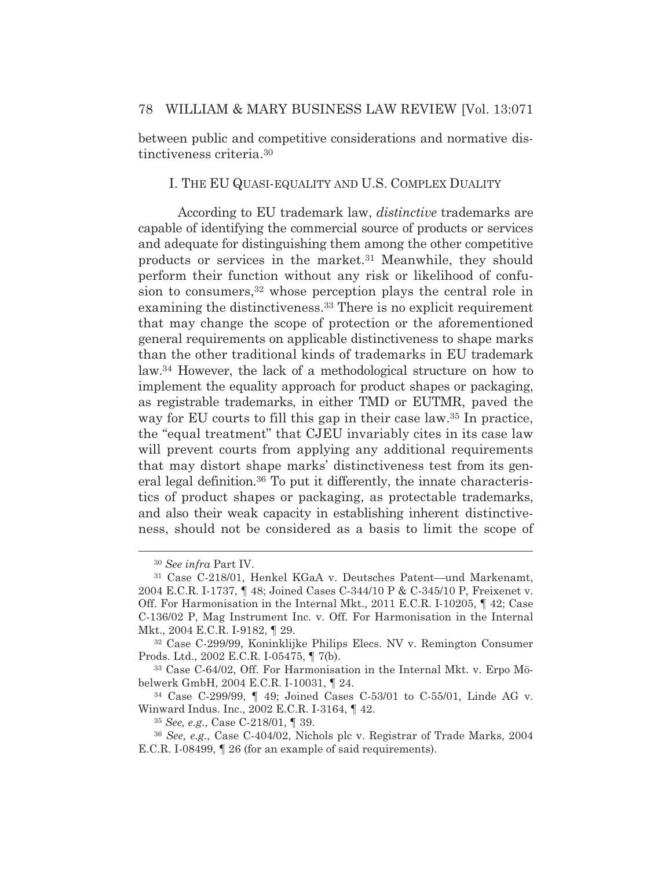between public and competitive considerations and normative distinctiveness criteria.30

#### I. THE EU QUASI-EQUALITY AND U.S. COMPLEX DUALITY

According to EU trademark law, *distinctive* trademarks are capable of identifying the commercial source of products or services and adequate for distinguishing them among the other competitive products or services in the market.31 Meanwhile, they should perform their function without any risk or likelihood of confusion to consumers,<sup>32</sup> whose perception plays the central role in examining the distinctiveness.33 There is no explicit requirement that may change the scope of protection or the aforementioned general requirements on applicable distinctiveness to shape marks than the other traditional kinds of trademarks in EU trademark law.34 However, the lack of a methodological structure on how to implement the equality approach for product shapes or packaging, as registrable trademarks, in either TMD or EUTMR, paved the way for EU courts to fill this gap in their case law.<sup>35</sup> In practice, the "equal treatment" that CJEU invariably cites in its case law will prevent courts from applying any additional requirements that may distort shape marks' distinctiveness test from its general legal definition.36 To put it differently, the innate characteristics of product shapes or packaging, as protectable trademarks, and also their weak capacity in establishing inherent distinctiveness, should not be considered as a basis to limit the scope of

<sup>30</sup> *See infra* Part IV.

<sup>31</sup> Case C-218/01, Henkel KGaA v. Deutsches Patent—und Markenamt, 2004 E.C.R. I-1737, ¶ 48; Joined Cases C-344/10 P & C-345/10 P, Freixenet v. Off. For Harmonisation in the Internal Mkt., 2011 E.C.R. I-10205, ¶ 42; Case C-136/02 P, Mag Instrument Inc. v. Off. For Harmonisation in the Internal Mkt., 2004 E.C.R. I-9182, ¶ 29.

<sup>32</sup> Case C-299/99, Koninklijke Philips Elecs. NV v. Remington Consumer Prods. Ltd., 2002 E.C.R. I-05475, ¶ 7(b).

<sup>33</sup> Case C-64/02, Off. For Harmonisation in the Internal Mkt. v. Erpo Möbelwerk GmbH, 2004 E.C.R. I-10031, ¶ 24.

<sup>34</sup> Case C-299/99, ¶ 49; Joined Cases C-53/01 to C-55/01, Linde AG v. Winward Indus. Inc., 2002 E.C.R. I-3164, ¶ 42.

<sup>35</sup> *See, e.g.*, Case C-218/01, ¶ 39.

<sup>36</sup> *See, e.g.*, Case C-404/02, Nichols plc v. Registrar of Trade Marks, 2004 E.C.R. I-08499, ¶ 26 (for an example of said requirements).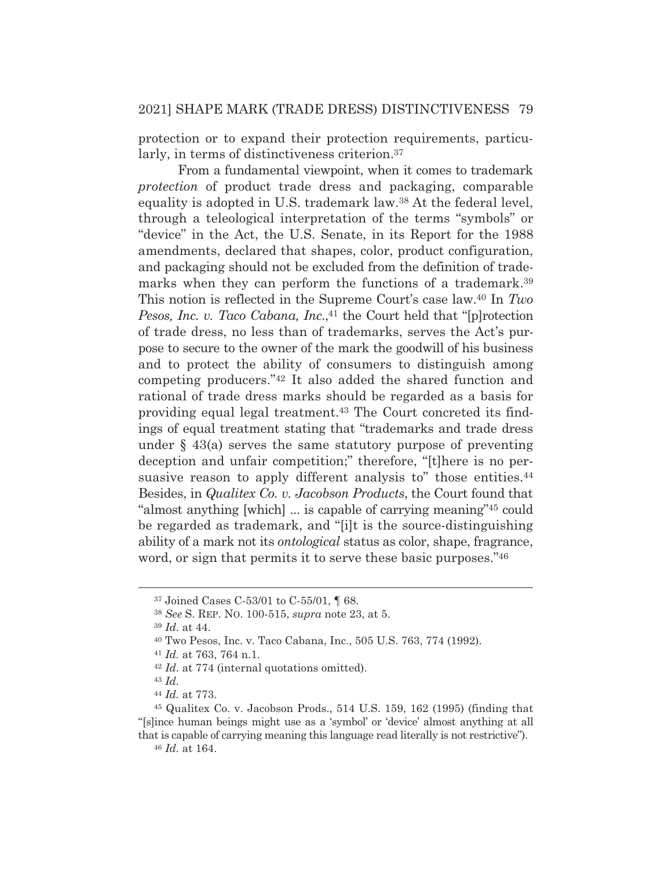protection or to expand their protection requirements, particularly, in terms of distinctiveness criterion.37

 From a fundamental viewpoint, when it comes to trademark *protection* of product trade dress and packaging, comparable equality is adopted in U.S. trademark law.38 At the federal level, through a teleological interpretation of the terms "symbols" or "device" in the Act, the U.S. Senate, in its Report for the 1988 amendments, declared that shapes, color, product configuration, and packaging should not be excluded from the definition of trademarks when they can perform the functions of a trademark.<sup>39</sup> This notion is reflected in the Supreme Court's case law.40 In *Two Pesos, Inc. v. Taco Cabana, Inc.*,<sup>41</sup> the Court held that "[p]rotection of trade dress, no less than of trademarks, serves the Act's purpose to secure to the owner of the mark the goodwill of his business and to protect the ability of consumers to distinguish among competing producers."42 It also added the shared function and rational of trade dress marks should be regarded as a basis for providing equal legal treatment.43 The Court concreted its findings of equal treatment stating that "trademarks and trade dress under  $\S$  43(a) serves the same statutory purpose of preventing deception and unfair competition;" therefore, "[t]here is no persuasive reason to apply different analysis to" those entities.<sup>44</sup> Besides, in *Qualitex Co. v. Jacobson Products*, the Court found that "almost anything [which] ... is capable of carrying meaning"45 could be regarded as trademark, and "[i]t is the source-distinguishing ability of a mark not its *ontological* status as color, shape, fragrance, word, or sign that permits it to serve these basic purposes."<sup>46</sup>

<sup>41</sup> *Id.* at 763, 764 n.1.<br><sup>42</sup> *Id.* at 774 (internal quotations omitted).

<sup>37</sup> Joined Cases C-53/01 to C-55/01, ¶ 68.

<sup>38</sup> *See* S. REP. NO. 100-515, *supra* note 23, at 5.

<sup>39</sup> *Id.* at 44.

<sup>40</sup> Two Pesos, Inc. v. Taco Cabana, Inc., 505 U.S. 763, 774 (1992).

<sup>43</sup> *Id.*

<sup>44</sup> *Id.* at 773.

<sup>45</sup> Qualitex Co. v. Jacobson Prods., 514 U.S. 159, 162 (1995) (finding that "[s]ince human beings might use as a 'symbol' or 'device' almost anything at all that is capable of carrying meaning this language read literally is not restrictive").

<sup>46</sup> *Id.* at 164.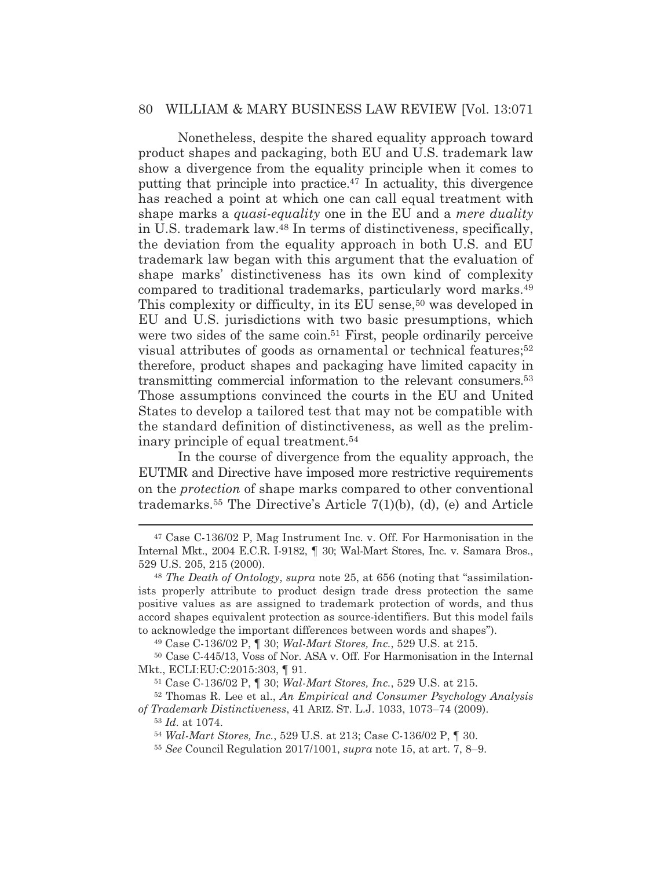Nonetheless, despite the shared equality approach toward product shapes and packaging, both EU and U.S. trademark law show a divergence from the equality principle when it comes to putting that principle into practice.47 In actuality, this divergence has reached a point at which one can call equal treatment with shape marks a *quasi*-*equality* one in the EU and a *mere duality* in U.S. trademark law.48 In terms of distinctiveness, specifically, the deviation from the equality approach in both U.S. and EU trademark law began with this argument that the evaluation of shape marks' distinctiveness has its own kind of complexity compared to traditional trademarks, particularly word marks.49 This complexity or difficulty, in its EU sense,<sup>50</sup> was developed in EU and U.S. jurisdictions with two basic presumptions, which were two sides of the same coin.<sup>51</sup> First, people ordinarily perceive visual attributes of goods as ornamental or technical features;52 therefore, product shapes and packaging have limited capacity in transmitting commercial information to the relevant consumers.53 Those assumptions convinced the courts in the EU and United States to develop a tailored test that may not be compatible with the standard definition of distinctiveness, as well as the preliminary principle of equal treatment.54

 In the course of divergence from the equality approach, the EUTMR and Directive have imposed more restrictive requirements on the *protection* of shape marks compared to other conventional trademarks.55 The Directive's Article 7(1)(b), (d), (e) and Article

50 Case C-445/13, Voss of Nor. ASA v. Off. For Harmonisation in the Internal Mkt., ECLI:EU:C:2015:303, ¶ 91.

<sup>53</sup> *Id.* at 1074.

<sup>47</sup> Case C-136/02 P, Mag Instrument Inc. v. Off. For Harmonisation in the Internal Mkt., 2004 E.C.R. I-9182, ¶ 30; Wal-Mart Stores, Inc. v. Samara Bros., 529 U.S. 205, 215 (2000).

<sup>48</sup> *The Death of Ontology*, *supra* note 25, at 656 (noting that "assimilationists properly attribute to product design trade dress protection the same positive values as are assigned to trademark protection of words, and thus accord shapes equivalent protection as source-identifiers. But this model fails to acknowledge the important differences between words and shapes").

<sup>49</sup> Case C-136/02 P, ¶ 30; *Wal-Mart Stores, Inc.*, 529 U.S. at 215.

<sup>51</sup> Case C-136/02 P, ¶ 30; *Wal-Mart Stores, Inc.*, 529 U.S. at 215.

<sup>52</sup> Thomas R. Lee et al., *An Empirical and Consumer Psychology Analysis of Trademark Distinctiveness*, 41 ARIZ. ST. L.J. 1033, 1073–74 (2009).

<sup>54</sup> *Wal-Mart Stores, Inc.*, 529 U.S. at 213; Case C-136/02 P, ¶ 30.

<sup>55</sup> *See* Council Regulation 2017/1001, *supra* note 15, at art. 7, 8–9.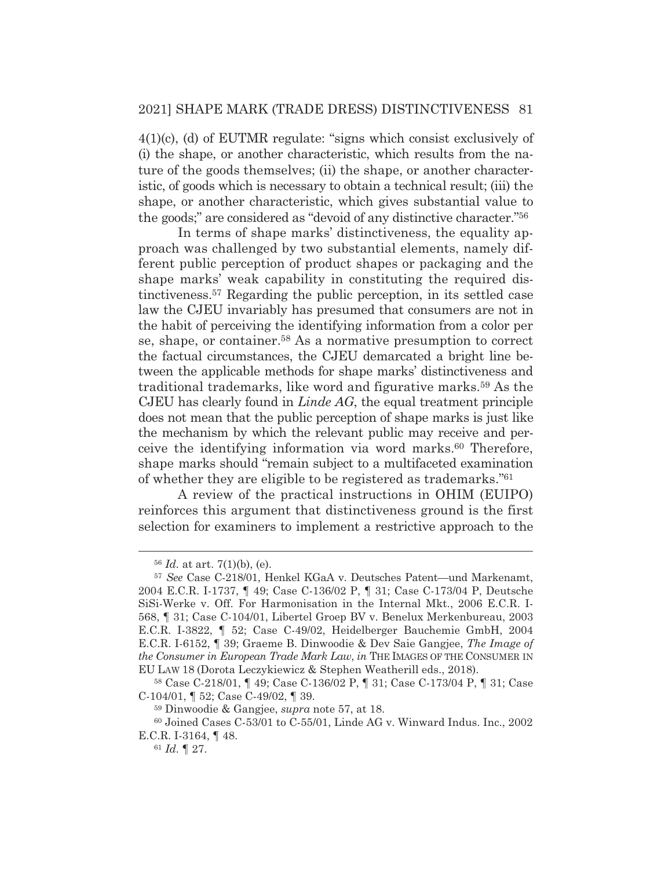4(1)(c), (d) of EUTMR regulate: "signs which consist exclusively of (i) the shape, or another characteristic, which results from the nature of the goods themselves; (ii) the shape, or another characteristic, of goods which is necessary to obtain a technical result; (iii) the shape, or another characteristic, which gives substantial value to the goods;" are considered as "devoid of any distinctive character."56

 In terms of shape marks' distinctiveness, the equality approach was challenged by two substantial elements, namely different public perception of product shapes or packaging and the shape marks' weak capability in constituting the required distinctiveness.57 Regarding the public perception, in its settled case law the CJEU invariably has presumed that consumers are not in the habit of perceiving the identifying information from a color per se, shape, or container.58 As a normative presumption to correct the factual circumstances, the CJEU demarcated a bright line between the applicable methods for shape marks' distinctiveness and traditional trademarks, like word and figurative marks.59 As the CJEU has clearly found in *Linde AG*, the equal treatment principle does not mean that the public perception of shape marks is just like the mechanism by which the relevant public may receive and perceive the identifying information via word marks.60 Therefore, shape marks should "remain subject to a multifaceted examination of whether they are eligible to be registered as trademarks."61

 A review of the practical instructions in OHIM (EUIPO) reinforces this argument that distinctiveness ground is the first selection for examiners to implement a restrictive approach to the

<sup>56</sup> *Id.* at art. 7(1)(b), (e).

<sup>57</sup> *See* Case C-218/01, Henkel KGaA v. Deutsches Patent—und Markenamt, 2004 E.C.R. I-1737, ¶ 49; Case C-136/02 P, ¶ 31; Case C-173/04 P, Deutsche SiSi-Werke v. Off. For Harmonisation in the Internal Mkt., 2006 E.C.R. I-568, ¶ 31; Case C-104/01, Libertel Groep BV v. Benelux Merkenbureau, 2003 E.C.R. I-3822, ¶ 52; Case C-49/02, Heidelberger Bauchemie GmbH, 2004 E.C.R. I-6152, ¶ 39; Graeme B. Dinwoodie & Dev Saie Gangjee, *The Image of the Consumer in European Trade Mark Law*, *in* THE IMAGES OF THE CONSUMER IN EU LAW 18 (Dorota Leczykiewicz & Stephen Weatherill eds., 2018).

<sup>58</sup> Case C-218/01, ¶ 49; Case C-136/02 P, ¶ 31; Case C-173/04 P, ¶ 31; Case C-104/01, ¶ 52; Case C-49/02, ¶ 39.

<sup>59</sup> Dinwoodie & Gangjee, *supra* note 57, at 18.

<sup>60</sup> Joined Cases C-53/01 to C-55/01, Linde AG v. Winward Indus. Inc., 2002 E.C.R. I-3164, ¶ 48.

<sup>61</sup> *Id.* ¶ 27.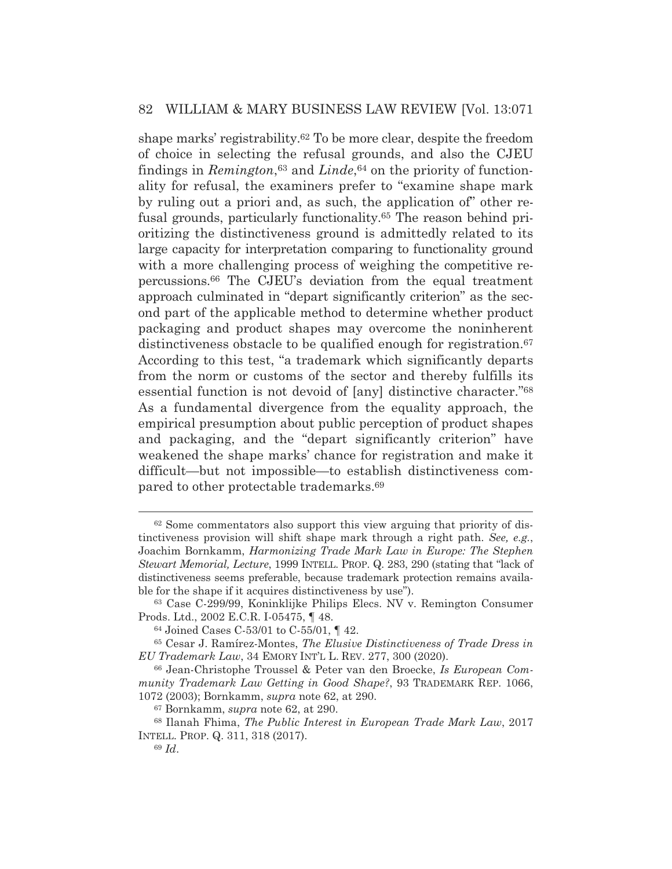shape marks' registrability.62 To be more clear, despite the freedom of choice in selecting the refusal grounds, and also the CJEU findings in *Remington*<sup>63</sup> and *Linde*<sup>64</sup> on the priority of functionality for refusal, the examiners prefer to "examine shape mark by ruling out a priori and, as such, the application of" other refusal grounds, particularly functionality.65 The reason behind prioritizing the distinctiveness ground is admittedly related to its large capacity for interpretation comparing to functionality ground with a more challenging process of weighing the competitive repercussions.66 The CJEU's deviation from the equal treatment approach culminated in "depart significantly criterion" as the second part of the applicable method to determine whether product packaging and product shapes may overcome the noninherent distinctiveness obstacle to be qualified enough for registration.<sup>67</sup> According to this test, "a trademark which significantly departs from the norm or customs of the sector and thereby fulfills its essential function is not devoid of [any] distinctive character."68 As a fundamental divergence from the equality approach, the empirical presumption about public perception of product shapes and packaging, and the "depart significantly criterion" have weakened the shape marks' chance for registration and make it difficult—but not impossible—to establish distinctiveness compared to other protectable trademarks.69

<sup>62</sup> Some commentators also support this view arguing that priority of distinctiveness provision will shift shape mark through a right path. *See, e.g.*, Joachim Bornkamm, *Harmonizing Trade Mark Law in Europe: The Stephen Stewart Memorial, Lecture*, 1999 INTELL. PROP. Q. 283, 290 (stating that "lack of distinctiveness seems preferable, because trademark protection remains available for the shape if it acquires distinctiveness by use").

<sup>63</sup> Case C-299/99, Koninklijke Philips Elecs. NV v. Remington Consumer Prods. Ltd., 2002 E.C.R. I-05475, ¶ 48.

<sup>64</sup> Joined Cases C-53/01 to C-55/01, ¶ 42.

<sup>65</sup> Cesar J. Ramírez-Montes, *The Elusive Distinctiveness of Trade Dress in EU Trademark Law*, 34 EMORY INT'L L. REV. 277, 300 (2020).

<sup>66</sup> Jean-Christophe Troussel & Peter van den Broecke, *Is European Community Trademark Law Getting in Good Shape?*, 93 TRADEMARK REP. 1066, 1072 (2003); Bornkamm, *supra* note 62, at 290.

<sup>67</sup> Bornkamm, *supra* note 62, at 290.

<sup>68</sup> Ilanah Fhima, *The Public Interest in European Trade Mark Law*, 2017 INTELL. PROP. Q. 311, 318 (2017).

<sup>69</sup> *Id*.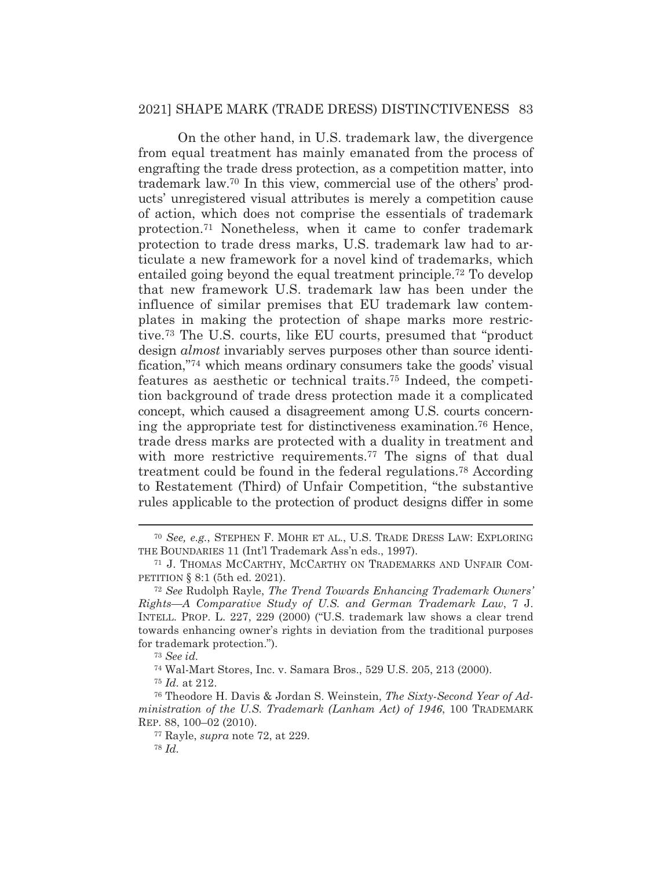On the other hand, in U.S. trademark law, the divergence from equal treatment has mainly emanated from the process of engrafting the trade dress protection, as a competition matter, into trademark law.70 In this view, commercial use of the others' products' unregistered visual attributes is merely a competition cause of action, which does not comprise the essentials of trademark protection.71 Nonetheless, when it came to confer trademark protection to trade dress marks, U.S. trademark law had to articulate a new framework for a novel kind of trademarks, which entailed going beyond the equal treatment principle.72 To develop that new framework U.S. trademark law has been under the influence of similar premises that EU trademark law contemplates in making the protection of shape marks more restrictive.73 The U.S. courts, like EU courts, presumed that "product design *almost* invariably serves purposes other than source identification,"74 which means ordinary consumers take the goods' visual features as aesthetic or technical traits.75 Indeed, the competition background of trade dress protection made it a complicated concept, which caused a disagreement among U.S. courts concerning the appropriate test for distinctiveness examination.76 Hence, trade dress marks are protected with a duality in treatment and with more restrictive requirements.<sup>77</sup> The signs of that dual treatment could be found in the federal regulations.78 According to Restatement (Third) of Unfair Competition, "the substantive rules applicable to the protection of product designs differ in some

<sup>70</sup> *See, e.g.*, STEPHEN F. MOHR ET AL., U.S. TRADE DRESS LAW: EXPLORING THE BOUNDARIES 11 (Int'l Trademark Ass'n eds., 1997).

<sup>71</sup> J. THOMAS MCCARTHY, MCCARTHY ON TRADEMARKS AND UNFAIR COM-PETITION § 8:1 (5th ed. 2021).

<sup>72</sup> *See* Rudolph Rayle, *The Trend Towards Enhancing Trademark Owners' Rights—A Comparative Study of U.S. and German Trademark Law*, 7 J. INTELL. PROP. L. 227, 229 (2000) ("U.S. trademark law shows a clear trend towards enhancing owner's rights in deviation from the traditional purposes for trademark protection.").

<sup>73</sup> *See id.*

<sup>74</sup> Wal-Mart Stores, Inc. v. Samara Bros., 529 U.S. 205, 213 (2000).

<sup>75</sup> *Id.* at 212.

<sup>76</sup> Theodore H. Davis & Jordan S. Weinstein, *The Sixty-Second Year of Administration of the U.S. Trademark (Lanham Act) of 1946*, 100 TRADEMARK REP. 88, 100–02 (2010).

<sup>77</sup> Rayle, *supra* note 72, at 229.

<sup>78</sup> *Id.*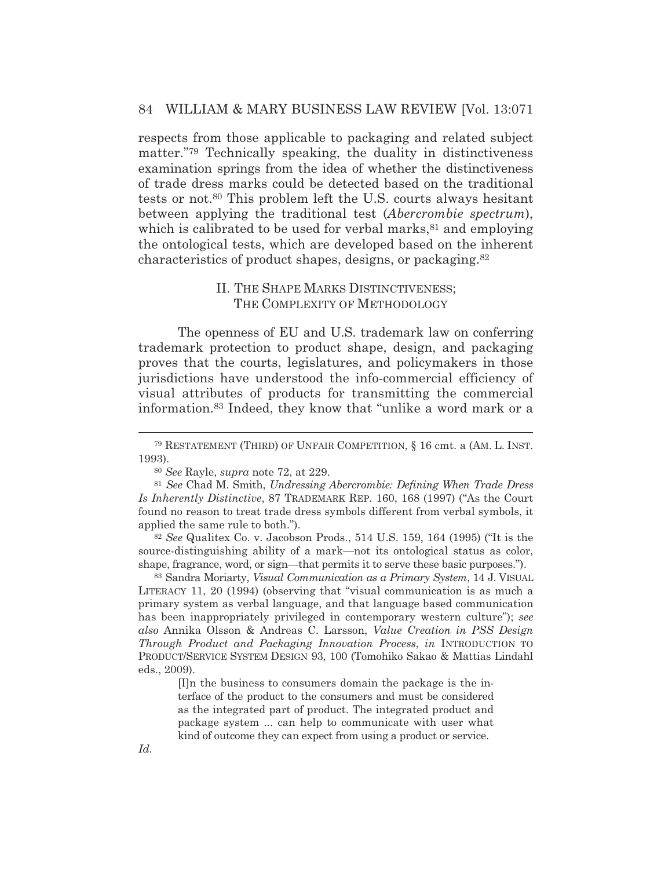respects from those applicable to packaging and related subject matter."79 Technically speaking, the duality in distinctiveness examination springs from the idea of whether the distinctiveness of trade dress marks could be detected based on the traditional tests or not.80 This problem left the U.S. courts always hesitant between applying the traditional test (*Abercrombie spectrum*), which is calibrated to be used for verbal marks,  $81$  and employing the ontological tests, which are developed based on the inherent characteristics of product shapes, designs, or packaging.82

## II. THE SHAPE MARKS DISTINCTIVENESS; THE COMPLEXITY OF METHODOLOGY

The openness of EU and U.S. trademark law on conferring trademark protection to product shape, design, and packaging proves that the courts, legislatures, and policymakers in those jurisdictions have understood the info-commercial efficiency of visual attributes of products for transmitting the commercial information.83 Indeed, they know that "unlike a word mark or a

<sup>82</sup> *See* Qualitex Co. v. Jacobson Prods., 514 U.S. 159, 164 (1995) ("It is the source-distinguishing ability of a mark—not its ontological status as color, shape, fragrance, word, or sign—that permits it to serve these basic purposes.").

83 Sandra Moriarty, *Visual Communication as a Primary System*, 14 J. VISUAL LITERACY 11, 20 (1994) (observing that "visual communication is as much a primary system as verbal language, and that language based communication has been inappropriately privileged in contemporary western culture"); *see also* Annika Olsson & Andreas C. Larsson, *Value Creation in PSS Design Through Product and Packaging Innovation Process*, *in* INTRODUCTION TO PRODUCT/SERVICE SYSTEM DESIGN 93, 100 (Tomohiko Sakao & Mattias Lindahl eds., 2009).

> [I]n the business to consumers domain the package is the interface of the product to the consumers and must be considered as the integrated part of product. The integrated product and package system ... can help to communicate with user what kind of outcome they can expect from using a product or service.

<sup>79</sup> RESTATEMENT (THIRD) OF UNFAIR COMPETITION, § 16 cmt. a (AM. L. INST. 1993).

<sup>80</sup> *See* Rayle, *supra* note 72, at 229.

<sup>81</sup> *See* Chad M. Smith, *Undressing Abercrombie: Defining When Trade Dress Is Inherently Distinctive*, 87 TRADEMARK REP. 160, 168 (1997) ("As the Court found no reason to treat trade dress symbols different from verbal symbols, it applied the same rule to both.").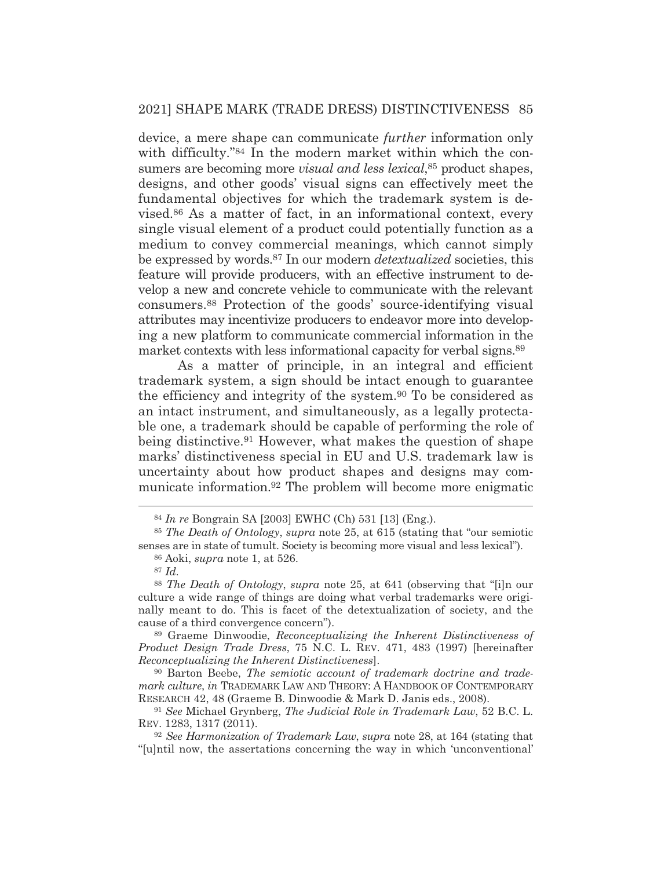device, a mere shape can communicate *further* information only with difficulty."<sup>84</sup> In the modern market within which the consumers are becoming more *visual and less lexical*,85 product shapes, designs, and other goods' visual signs can effectively meet the fundamental objectives for which the trademark system is devised.86 As a matter of fact, in an informational context, every single visual element of a product could potentially function as a medium to convey commercial meanings, which cannot simply be expressed by words.87 In our modern *detextualized* societies, this feature will provide producers, with an effective instrument to develop a new and concrete vehicle to communicate with the relevant consumers.88 Protection of the goods' source-identifying visual attributes may incentivize producers to endeavor more into developing a new platform to communicate commercial information in the market contexts with less informational capacity for verbal signs.<sup>89</sup>

 As a matter of principle, in an integral and efficient trademark system, a sign should be intact enough to guarantee the efficiency and integrity of the system.90 To be considered as an intact instrument, and simultaneously, as a legally protectable one, a trademark should be capable of performing the role of being distinctive.91 However, what makes the question of shape marks' distinctiveness special in EU and U.S. trademark law is uncertainty about how product shapes and designs may communicate information.92 The problem will become more enigmatic

89 Graeme Dinwoodie, *Reconceptualizing the Inherent Distinctiveness of Product Design Trade Dress*, 75 N.C. L. REV. 471, 483 (1997) [hereinafter *Reconceptualizing the Inherent Distinctiveness*].

90 Barton Beebe, *The semiotic account of trademark doctrine and trademark culture*, *in* TRADEMARK LAW AND THEORY:AHANDBOOK OF CONTEMPORARY RESEARCH 42, 48 (Graeme B. Dinwoodie & Mark D. Janis eds., 2008).

<sup>91</sup> *See* Michael Grynberg, *The Judicial Role in Trademark Law*, 52 B.C. L. REV. 1283, 1317 (2011).

<sup>92</sup> *See Harmonization of Trademark Law*, *supra* note 28, at 164 (stating that "[u]ntil now, the assertations concerning the way in which 'unconventional'

<sup>84</sup> *In re* Bongrain SA [2003] EWHC (Ch) 531 [13] (Eng.).

<sup>85</sup> *The Death of Ontology*, *supra* note 25, at 615 (stating that "our semiotic senses are in state of tumult. Society is becoming more visual and less lexical").

<sup>86</sup> Aoki, *supra* note 1, at 526.

<sup>87</sup> *Id.*

<sup>88</sup> *The Death of Ontology*, *supra* note 25, at 641 (observing that "[i]n our culture a wide range of things are doing what verbal trademarks were originally meant to do. This is facet of the detextualization of society, and the cause of a third convergence concern").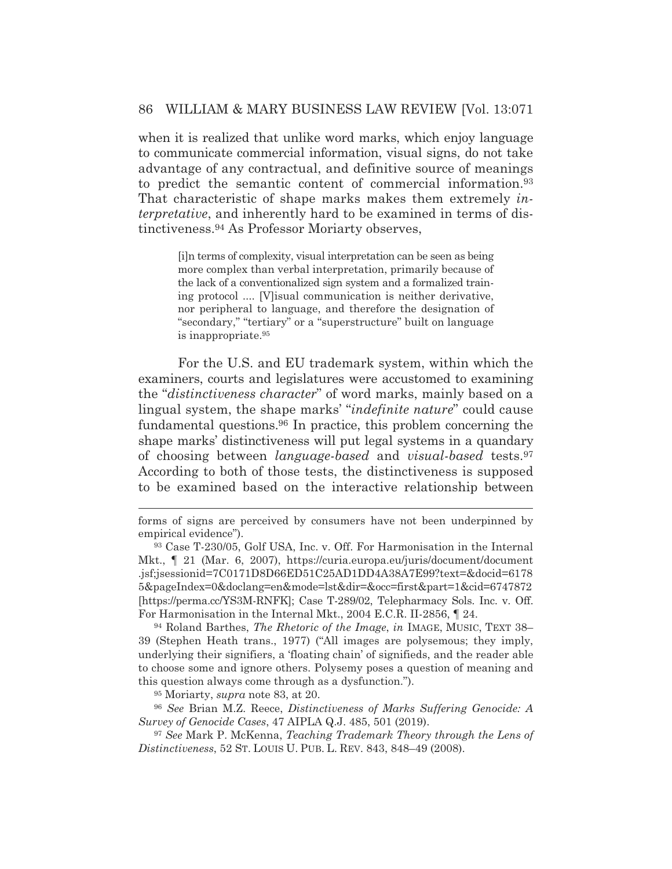when it is realized that unlike word marks, which enjoy language to communicate commercial information, visual signs, do not take advantage of any contractual, and definitive source of meanings to predict the semantic content of commercial information.93 That characteristic of shape marks makes them extremely *interpretative*, and inherently hard to be examined in terms of distinctiveness.94 As Professor Moriarty observes,

[i]n terms of complexity, visual interpretation can be seen as being more complex than verbal interpretation, primarily because of the lack of a conventionalized sign system and a formalized training protocol .... [V]isual communication is neither derivative, nor peripheral to language, and therefore the designation of "secondary," "tertiary" or a "superstructure" built on language is inappropriate.95

 For the U.S. and EU trademark system, within which the examiners, courts and legislatures were accustomed to examining the "*distinctiveness character*" of word marks, mainly based on a lingual system, the shape marks' "*indefinite nature*" could cause fundamental questions.96 In practice, this problem concerning the shape marks' distinctiveness will put legal systems in a quandary of choosing between *language-based* and *visual-based* tests.97 According to both of those tests, the distinctiveness is supposed to be examined based on the interactive relationship between

94 Roland Barthes, *The Rhetoric of the Image*, *in* IMAGE, MUSIC, TEXT 38– 39 (Stephen Heath trans., 1977) ("All images are polysemous; they imply, underlying their signifiers, a 'floating chain' of signifieds, and the reader able to choose some and ignore others. Polysemy poses a question of meaning and this question always come through as a dysfunction.").

95 Moriarty, *supra* note 83, at 20.

<sup>96</sup> *See* Brian M.Z. Reece, *Distinctiveness of Marks Suffering Genocide: A Survey of Genocide Cases*, 47 AIPLA Q.J. 485, 501 (2019).

<sup>97</sup> *See* Mark P. McKenna, *Teaching Trademark Theory through the Lens of Distinctiveness*, 52 ST. LOUIS U. PUB. L. REV. 843, 848–49 (2008).

forms of signs are perceived by consumers have not been underpinned by empirical evidence").

<sup>93</sup> Case T-230/05, Golf USA, Inc. v. Off. For Harmonisation in the Internal Mkt., ¶ 21 (Mar. 6, 2007), https://curia.europa.eu/juris/document/document .jsf;jsessionid=7C0171D8D66ED51C25AD1DD4A38A7E99?text=&docid=6178 5&pageIndex=0&doclang=en&mode=lst&dir=&occ=first&part=1&cid=6747872 [https://perma.cc/YS3M-RNFK]; Case T-289/02, Telepharmacy Sols. Inc. v. Off. For Harmonisation in the Internal Mkt., 2004 E.C.R. II-2856, ¶ 24.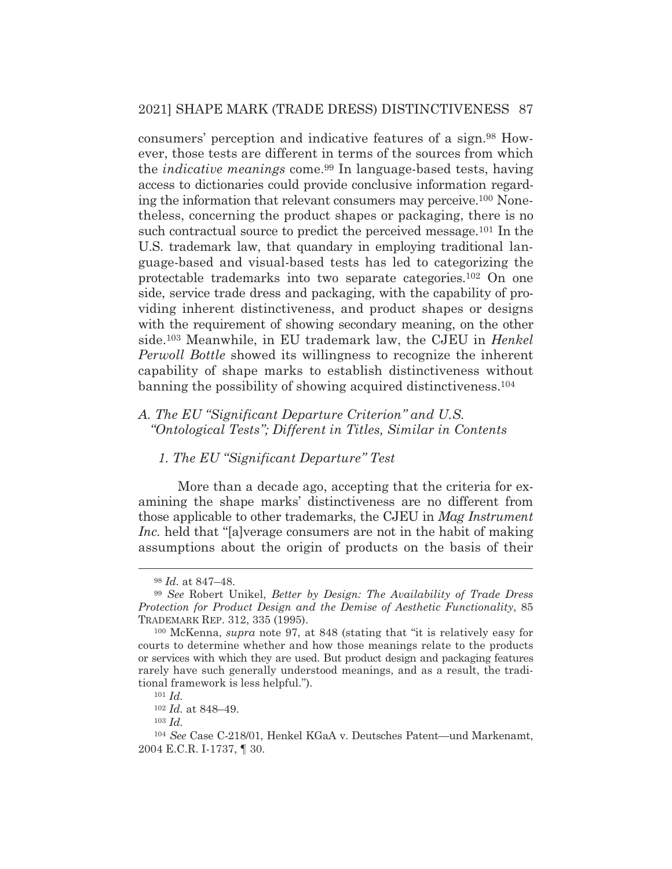consumers' perception and indicative features of a sign.98 However, those tests are different in terms of the sources from which the *indicative meanings* come.99 In language-based tests, having access to dictionaries could provide conclusive information regarding the information that relevant consumers may perceive.100 Nonetheless, concerning the product shapes or packaging, there is no such contractual source to predict the perceived message.101 In the U.S. trademark law, that quandary in employing traditional language-based and visual-based tests has led to categorizing the protectable trademarks into two separate categories.102 On one side, service trade dress and packaging, with the capability of providing inherent distinctiveness, and product shapes or designs with the requirement of showing secondary meaning, on the other side.103 Meanwhile, in EU trademark law, the CJEU in *Henkel Perwoll Bottle* showed its willingness to recognize the inherent capability of shape marks to establish distinctiveness without banning the possibility of showing acquired distinctiveness.104

## *A. The EU "Significant Departure Criterion" and U.S. "Ontological Tests"; Different in Titles, Similar in Contents*

## *1. The EU "Significant Departure" Test*

More than a decade ago, accepting that the criteria for examining the shape marks' distinctiveness are no different from those applicable to other trademarks, the CJEU in *Mag Instrument Inc.* held that "[a]verage consumers are not in the habit of making assumptions about the origin of products on the basis of their

<sup>103</sup> *Id.*

<sup>98</sup> *Id.* at 847–48.

<sup>99</sup> *See* Robert Unikel, *Better by Design: The Availability of Trade Dress Protection for Product Design and the Demise of Aesthetic Functionality*, 85 TRADEMARK REP. 312, 335 (1995).

<sup>100</sup> McKenna, *supra* note 97, at 848 (stating that "it is relatively easy for courts to determine whether and how those meanings relate to the products or services with which they are used. But product design and packaging features rarely have such generally understood meanings, and as a result, the traditional framework is less helpful.").

<sup>101</sup> *Id.*

<sup>102</sup> *Id.* at 848–49.

<sup>104</sup> *See* Case C-218/01, Henkel KGaA v. Deutsches Patent—und Markenamt, 2004 E.C.R. I-1737, ¶ 30.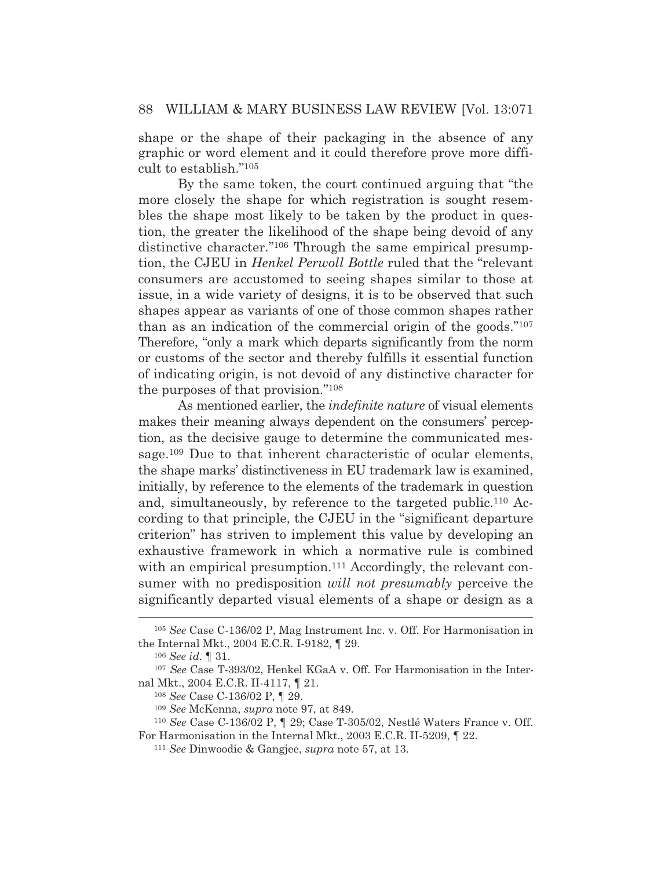shape or the shape of their packaging in the absence of any graphic or word element and it could therefore prove more difficult to establish."105

By the same token, the court continued arguing that "the more closely the shape for which registration is sought resembles the shape most likely to be taken by the product in question, the greater the likelihood of the shape being devoid of any distinctive character."<sup>106</sup> Through the same empirical presumption, the CJEU in *Henkel Perwoll Bottle* ruled that the "relevant consumers are accustomed to seeing shapes similar to those at issue, in a wide variety of designs, it is to be observed that such shapes appear as variants of one of those common shapes rather than as an indication of the commercial origin of the goods."107 Therefore, "only a mark which departs significantly from the norm or customs of the sector and thereby fulfills it essential function of indicating origin, is not devoid of any distinctive character for the purposes of that provision."108

 As mentioned earlier, the *indefinite nature* of visual elements makes their meaning always dependent on the consumers' perception, as the decisive gauge to determine the communicated message.109 Due to that inherent characteristic of ocular elements, the shape marks' distinctiveness in EU trademark law is examined, initially, by reference to the elements of the trademark in question and, simultaneously, by reference to the targeted public.110 According to that principle, the CJEU in the "significant departure criterion" has striven to implement this value by developing an exhaustive framework in which a normative rule is combined with an empirical presumption.<sup>111</sup> Accordingly, the relevant consumer with no predisposition *will not presumably* perceive the significantly departed visual elements of a shape or design as a

<sup>105</sup> *See* Case C-136/02 P, Mag Instrument Inc. v. Off. For Harmonisation in the Internal Mkt., 2004 E.C.R. I-9182, ¶ 29.

<sup>106</sup> *See id.* ¶ 31.

<sup>107</sup> *See* Case T-393/02, Henkel KGaA v. Off. For Harmonisation in the Internal Mkt., 2004 E.C.R. II-4117, ¶ 21.

<sup>108</sup> *See* Case C-136/02 P, ¶ 29.

<sup>109</sup> *See* McKenna, *supra* note 97, at 849.

<sup>110</sup> *See* Case C-136/02 P, ¶ 29; Case T-305/02, Nestlé Waters France v. Off. For Harmonisation in the Internal Mkt., 2003 E.C.R. II-5209, ¶ 22. 111 *See* Dinwoodie & Gangjee, *supra* note 57, at 13.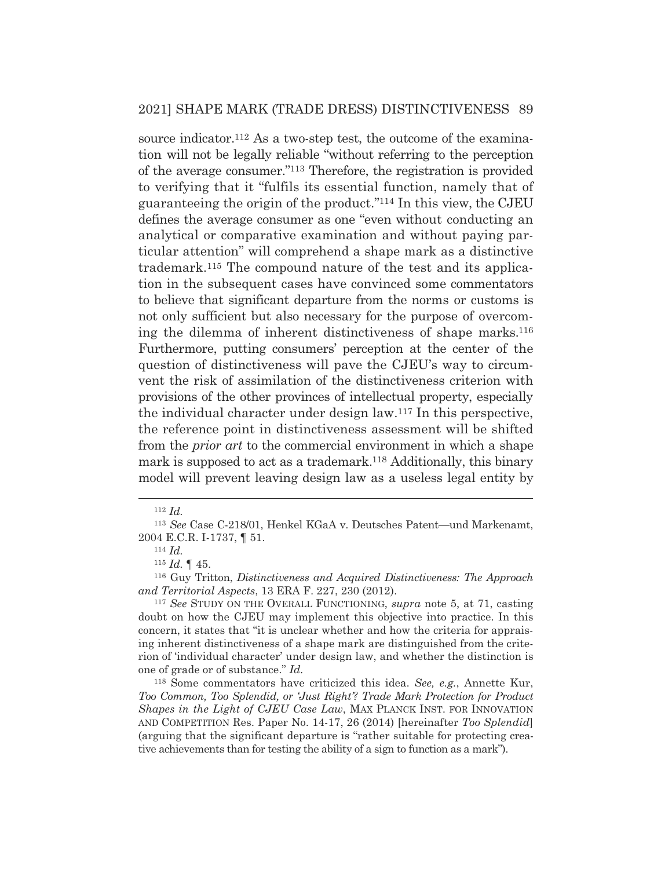source indicator.<sup>112</sup> As a two-step test, the outcome of the examination will not be legally reliable "without referring to the perception of the average consumer."113 Therefore, the registration is provided to verifying that it "fulfils its essential function, namely that of guaranteeing the origin of the product."114 In this view, the CJEU defines the average consumer as one "even without conducting an analytical or comparative examination and without paying particular attention" will comprehend a shape mark as a distinctive trademark.115 The compound nature of the test and its application in the subsequent cases have convinced some commentators to believe that significant departure from the norms or customs is not only sufficient but also necessary for the purpose of overcoming the dilemma of inherent distinctiveness of shape marks.116 Furthermore, putting consumers' perception at the center of the question of distinctiveness will pave the CJEU's way to circumvent the risk of assimilation of the distinctiveness criterion with provisions of the other provinces of intellectual property, especially the individual character under design law.117 In this perspective, the reference point in distinctiveness assessment will be shifted from the *prior art* to the commercial environment in which a shape mark is supposed to act as a trademark.<sup>118</sup> Additionally, this binary model will prevent leaving design law as a useless legal entity by

<sup>112</sup> *Id.*

<sup>113</sup> *See* Case C-218/01, Henkel KGaA v. Deutsches Patent—und Markenamt, 2004 E.C.R. I-1737, ¶ 51. 114 *Id.*

<sup>115</sup> *Id.* ¶ 45.

<sup>116</sup> Guy Tritton, *Distinctiveness and Acquired Distinctiveness: The Approach and Territorial Aspects*, 13 ERA F. 227, 230 (2012).

<sup>117</sup> *See* STUDY ON THE OVERALL FUNCTIONING, *supra* note 5, at 71, casting doubt on how the CJEU may implement this objective into practice. In this concern, it states that "it is unclear whether and how the criteria for appraising inherent distinctiveness of a shape mark are distinguished from the criterion of 'individual character' under design law, and whether the distinction is one of grade or of substance." *Id.*

<sup>118</sup> Some commentators have criticized this idea. *See, e.g.*, Annette Kur, *Too Common, Too Splendid, or 'Just Right'? Trade Mark Protection for Product Shapes in the Light of CJEU Case Law*, MAX PLANCK INST. FOR INNOVATION AND COMPETITION Res. Paper No. 14-17, 26 (2014) [hereinafter *Too Splendid*] (arguing that the significant departure is "rather suitable for protecting creative achievements than for testing the ability of a sign to function as a mark").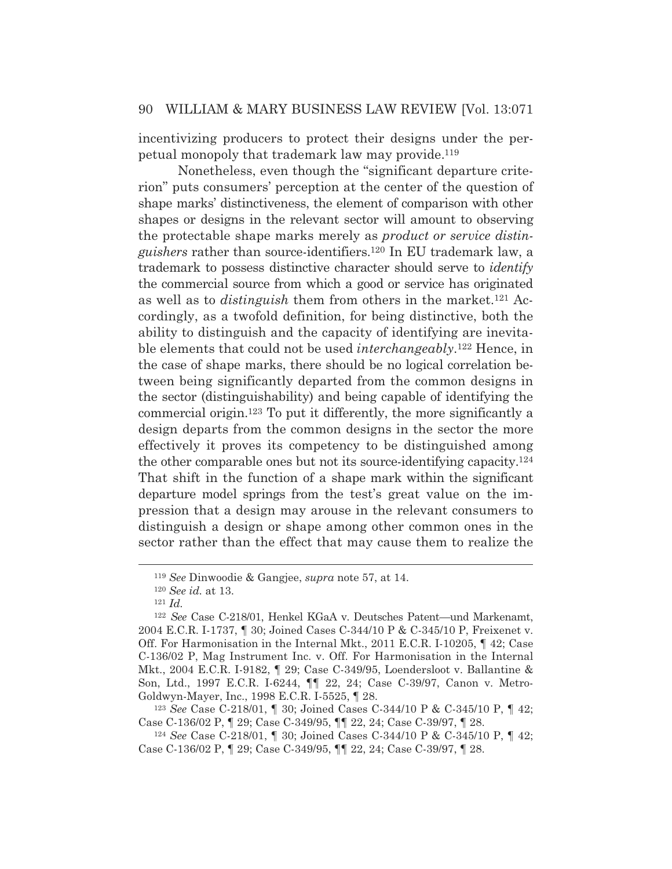incentivizing producers to protect their designs under the perpetual monopoly that trademark law may provide.119

 Nonetheless, even though the "significant departure criterion" puts consumers' perception at the center of the question of shape marks' distinctiveness, the element of comparison with other shapes or designs in the relevant sector will amount to observing the protectable shape marks merely as *product or service distinguishers* rather than source-identifiers.120 In EU trademark law, a trademark to possess distinctive character should serve to *identify* the commercial source from which a good or service has originated as well as to *distinguish* them from others in the market.121 Accordingly, as a twofold definition, for being distinctive, both the ability to distinguish and the capacity of identifying are inevitable elements that could not be used *interchangeably*.122 Hence, in the case of shape marks, there should be no logical correlation between being significantly departed from the common designs in the sector (distinguishability) and being capable of identifying the commercial origin.123 To put it differently, the more significantly a design departs from the common designs in the sector the more effectively it proves its competency to be distinguished among the other comparable ones but not its source-identifying capacity.124 That shift in the function of a shape mark within the significant departure model springs from the test's great value on the impression that a design may arouse in the relevant consumers to distinguish a design or shape among other common ones in the sector rather than the effect that may cause them to realize the

<sup>119</sup> *See* Dinwoodie & Gangjee, *supra* note 57, at 14.

<sup>120</sup> *See id.* at 13. 121 *Id.*

<sup>122</sup> *See* Case C-218/01, Henkel KGaA v. Deutsches Patent—und Markenamt, 2004 E.C.R. I-1737, ¶ 30; Joined Cases C-344/10 P & C-345/10 P, Freixenet v. Off. For Harmonisation in the Internal Mkt., 2011 E.C.R. I-10205, ¶ 42; Case C-136/02 P, Mag Instrument Inc. v. Off. For Harmonisation in the Internal Mkt., 2004 E.C.R. I-9182, ¶ 29; Case C-349/95, Loendersloot v. Ballantine & Son, Ltd., 1997 E.C.R. I-6244, ¶¶ 22, 24; Case C-39/97, Canon v. Metro-Goldwyn-Mayer, Inc., 1998 E.C.R. I-5525, ¶ 28.

<sup>123</sup> *See* Case C-218/01, ¶ 30; Joined Cases C-344/10 P & C-345/10 P, ¶ 42; Case C-136/02 P, ¶ 29; Case C-349/95, ¶¶ 22, 24; Case C-39/97, ¶ 28. 124 *See* Case C-218/01, ¶ 30; Joined Cases C-344/10 P & C-345/10 P, ¶ 42;

Case C-136/02 P, ¶ 29; Case C-349/95, ¶¶ 22, 24; Case C-39/97, ¶ 28.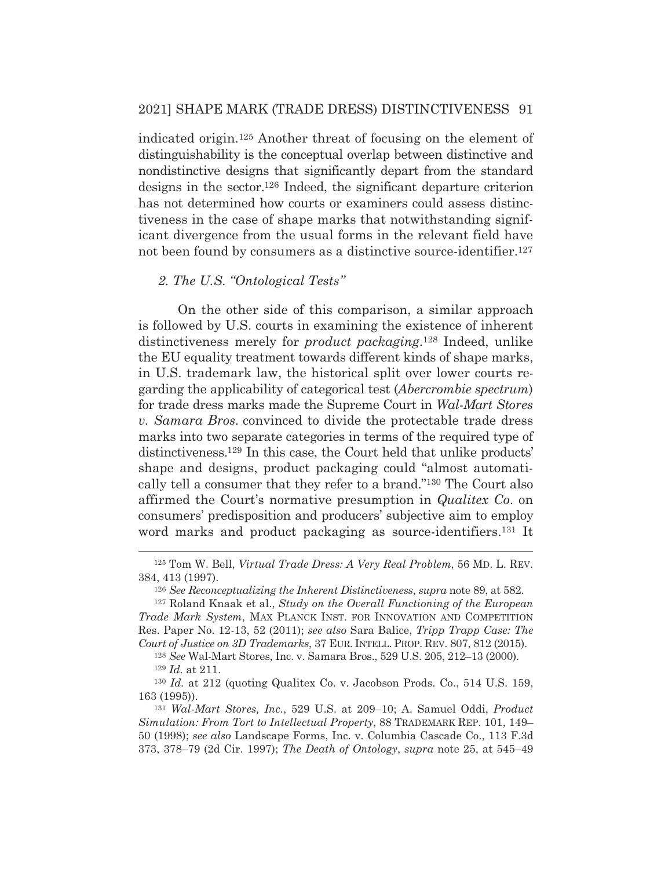indicated origin.125 Another threat of focusing on the element of distinguishability is the conceptual overlap between distinctive and nondistinctive designs that significantly depart from the standard designs in the sector.126 Indeed, the significant departure criterion has not determined how courts or examiners could assess distinctiveness in the case of shape marks that notwithstanding significant divergence from the usual forms in the relevant field have not been found by consumers as a distinctive source-identifier.<sup>127</sup>

## *2. The U.S. "Ontological Tests"*

 On the other side of this comparison, a similar approach is followed by U.S. courts in examining the existence of inherent distinctiveness merely for *product packaging*.128 Indeed, unlike the EU equality treatment towards different kinds of shape marks, in U.S. trademark law, the historical split over lower courts regarding the applicability of categorical test (*Abercrombie spectrum*) for trade dress marks made the Supreme Court in *Wal-Mart Stores v. Samara Bros.* convinced to divide the protectable trade dress marks into two separate categories in terms of the required type of distinctiveness.129 In this case, the Court held that unlike products' shape and designs, product packaging could "almost automatically tell a consumer that they refer to a brand."130 The Court also affirmed the Court's normative presumption in *Qualitex Co*. on consumers' predisposition and producers' subjective aim to employ word marks and product packaging as source-identifiers.<sup>131</sup> It

<sup>125</sup> Tom W. Bell, *Virtual Trade Dress: A Very Real Problem*, 56 MD. L. REV. 384, 413 (1997).

<sup>126</sup> *See Reconceptualizing the Inherent Distinctiveness*, *supra* note 89, at 582.

<sup>127</sup> Roland Knaak et al., *Study on the Overall Functioning of the European Trade Mark System*, MAX PLANCK INST. FOR INNOVATION AND COMPETITION Res. Paper No. 12-13, 52 (2011); *see also* Sara Balice, *Tripp Trapp Case: The Court of Justice on 3D Trademarks*, 37 EUR. INTELL. PROP. REV. 807, 812 (2015).

<sup>128</sup> *See* Wal-Mart Stores, Inc. v. Samara Bros., 529 U.S. 205, 212–13 (2000). <sup>129</sup> *Id.* at 211.

<sup>130</sup> *Id.* at 212 (quoting Qualitex Co. v. Jacobson Prods. Co., 514 U.S. 159, 163 (1995)).

<sup>131</sup> *Wal-Mart Stores, Inc.*, 529 U.S. at 209–10; A. Samuel Oddi, *Product Simulation: From Tort to Intellectual Property*, 88 TRADEMARK REP. 101, 149– 50 (1998); *see also* Landscape Forms, Inc. v. Columbia Cascade Co., 113 F.3d 373, 378–79 (2d Cir. 1997); *The Death of Ontology*, *supra* note 25, at 545–49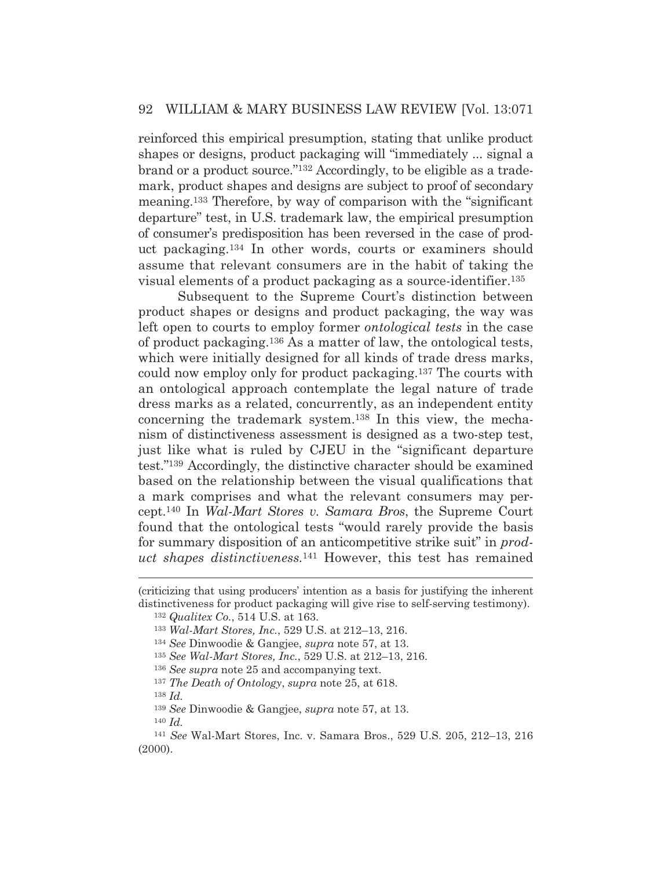reinforced this empirical presumption, stating that unlike product shapes or designs, product packaging will "immediately ... signal a brand or a product source."132 Accordingly, to be eligible as a trademark, product shapes and designs are subject to proof of secondary meaning.133 Therefore, by way of comparison with the "significant departure" test, in U.S. trademark law, the empirical presumption of consumer's predisposition has been reversed in the case of product packaging.134 In other words, courts or examiners should assume that relevant consumers are in the habit of taking the visual elements of a product packaging as a source-identifier.135

 Subsequent to the Supreme Court's distinction between product shapes or designs and product packaging, the way was left open to courts to employ former *ontological tests* in the case of product packaging.136 As a matter of law, the ontological tests, which were initially designed for all kinds of trade dress marks, could now employ only for product packaging.137 The courts with an ontological approach contemplate the legal nature of trade dress marks as a related, concurrently, as an independent entity concerning the trademark system.138 In this view, the mechanism of distinctiveness assessment is designed as a two-step test, just like what is ruled by CJEU in the "significant departure test."139 Accordingly, the distinctive character should be examined based on the relationship between the visual qualifications that a mark comprises and what the relevant consumers may percept.140 In *Wal-Mart Stores v. Samara Bros*, the Supreme Court found that the ontological tests "would rarely provide the basis for summary disposition of an anticompetitive strike suit" in *product shapes distinctiveness.*<sup>141</sup> However, this test has remained

<sup>138</sup> *Id.*

<sup>139</sup> *See* Dinwoodie & Gangjee, *supra* note 57, at 13.

<sup>140</sup> *Id.*

<sup>(</sup>criticizing that using producers' intention as a basis for justifying the inherent distinctiveness for product packaging will give rise to self-serving testimony).

<sup>132</sup> *Qualitex Co.*, 514 U.S. at 163.

<sup>133</sup> *Wal-Mart Stores, Inc.*, 529 U.S. at 212–13, 216.

<sup>134</sup> *See* Dinwoodie & Gangjee, *supra* note 57, at 13.

<sup>135</sup> *See Wal-Mart Stores, Inc.*, 529 U.S. at 212–13, 216.

<sup>136</sup> *See supra* note 25 and accompanying text.

<sup>137</sup> *The Death of Ontology*, *supra* note 25, at 618.

<sup>141</sup> *See* Wal-Mart Stores, Inc. v. Samara Bros., 529 U.S. 205, 212–13, 216 (2000).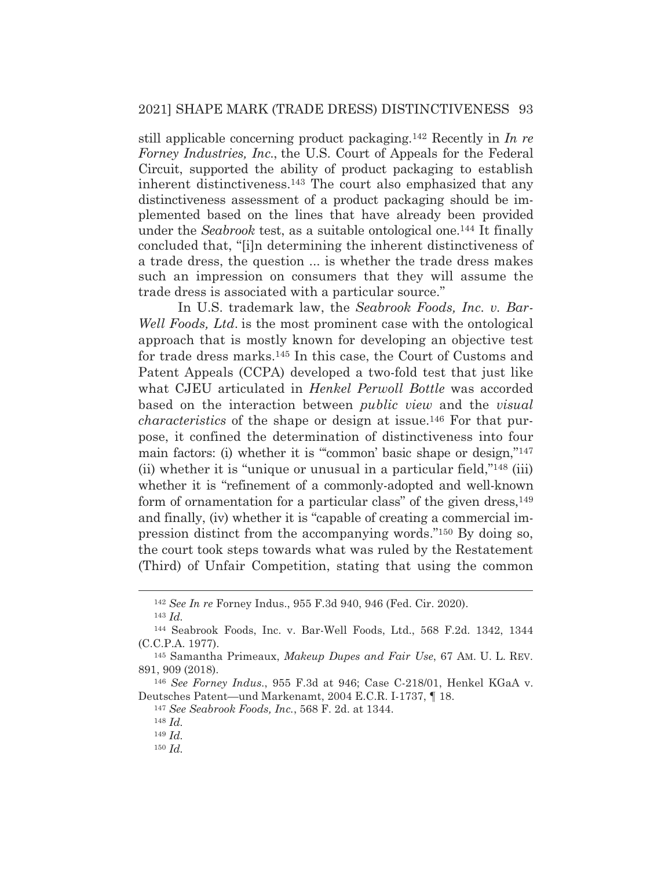still applicable concerning product packaging.142 Recently in *In re Forney Industries, Inc*., the U.S. Court of Appeals for the Federal Circuit, supported the ability of product packaging to establish inherent distinctiveness.143 The court also emphasized that any distinctiveness assessment of a product packaging should be implemented based on the lines that have already been provided under the *Seabrook* test, as a suitable ontological one.144 It finally concluded that, "[i]n determining the inherent distinctiveness of a trade dress, the question ... is whether the trade dress makes such an impression on consumers that they will assume the trade dress is associated with a particular source."

 In U.S. trademark law, the *Seabrook Foods, Inc. v. Bar-Well Foods, Ltd*. is the most prominent case with the ontological approach that is mostly known for developing an objective test for trade dress marks.145 In this case, the Court of Customs and Patent Appeals (CCPA) developed a two-fold test that just like what CJEU articulated in *Henkel Perwoll Bottle* was accorded based on the interaction between *public view* and the *visual characteristics* of the shape or design at issue.146 For that purpose, it confined the determination of distinctiveness into four main factors: (i) whether it is ""common' basic shape or design,"<sup>147</sup> (ii) whether it is "unique or unusual in a particular field,"148 (iii) whether it is "refinement of a commonly-adopted and well-known form of ornamentation for a particular class" of the given dress,  $^{149}$ and finally, (iv) whether it is "capable of creating a commercial impression distinct from the accompanying words."150 By doing so, the court took steps towards what was ruled by the Restatement (Third) of Unfair Competition, stating that using the common

<sup>142</sup> *See In re* Forney Indus., 955 F.3d 940, 946 (Fed. Cir. 2020). <sup>143</sup> *Id.*

<sup>144</sup> Seabrook Foods, Inc. v. Bar-Well Foods, Ltd., 568 F.2d. 1342, 1344 (C.C.P.A. 1977).

<sup>145</sup> Samantha Primeaux, *Makeup Dupes and Fair Use*, 67 AM. U. L. REV. 891, 909 (2018).

<sup>146</sup> *See Forney Indus.*, 955 F.3d at 946; Case C-218/01, Henkel KGaA v. Deutsches Patent—und Markenamt, 2004 E.C.R. I-1737, ¶ 18.

<sup>147</sup> *See Seabrook Foods, Inc.*, 568 F. 2d. at 1344.

<sup>148</sup> *Id.*

<sup>149</sup> *Id.*

<sup>150</sup> *Id.*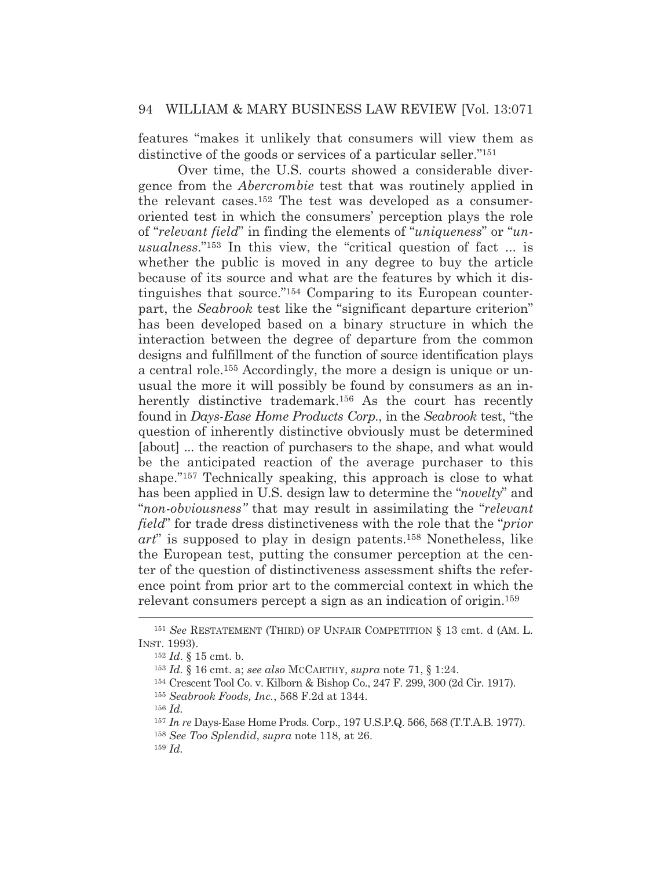features "makes it unlikely that consumers will view them as distinctive of the goods or services of a particular seller."151

Over time, the U.S. courts showed a considerable divergence from the *Abercrombie* test that was routinely applied in the relevant cases.152 The test was developed as a consumeroriented test in which the consumers' perception plays the role of "*relevant field*" in finding the elements of "*uniqueness*" or "*unusualness*."153 In this view, the "critical question of fact ... is whether the public is moved in any degree to buy the article because of its source and what are the features by which it distinguishes that source."154 Comparing to its European counterpart, the *Seabrook* test like the "significant departure criterion" has been developed based on a binary structure in which the interaction between the degree of departure from the common designs and fulfillment of the function of source identification plays a central role.155 Accordingly, the more a design is unique or unusual the more it will possibly be found by consumers as an inherently distinctive trademark.<sup>156</sup> As the court has recently found in *Days-Ease Home Products Corp.*, in the *Seabrook* test, "the question of inherently distinctive obviously must be determined [about] ... the reaction of purchasers to the shape, and what would be the anticipated reaction of the average purchaser to this shape."157 Technically speaking, this approach is close to what has been applied in U.S. design law to determine the "*novelty*" and "*non*-*obviousness"* that may result in assimilating the "*relevant field*" for trade dress distinctiveness with the role that the "*prior art*" is supposed to play in design patents.158 Nonetheless, like the European test, putting the consumer perception at the center of the question of distinctiveness assessment shifts the reference point from prior art to the commercial context in which the relevant consumers percept a sign as an indication of origin.159

<sup>151</sup> *See* RESTATEMENT (THIRD) OF UNFAIR COMPETITION § 13 cmt. d (AM. L. INST. 1993).

<sup>152</sup> *Id*. § 15 cmt. b.

<sup>153</sup> *Id.* § 16 cmt. a; *see also* MCCARTHY, *supra* note 71, § 1:24.

<sup>154</sup> Crescent Tool Co. v. Kilborn & Bishop Co., 247 F. 299, 300 (2d Cir. 1917).

<sup>155</sup> *Seabrook Foods, Inc.*, 568 F.2d at 1344.

<sup>156</sup> *Id.*

<sup>157</sup> *In re* Days-Ease Home Prods. Corp., 197 U.S.P.Q. 566, 568 (T.T.A.B. 1977). <sup>158</sup> *See Too Splendid*, *supra* note 118, at 26.

<sup>159</sup> *Id.*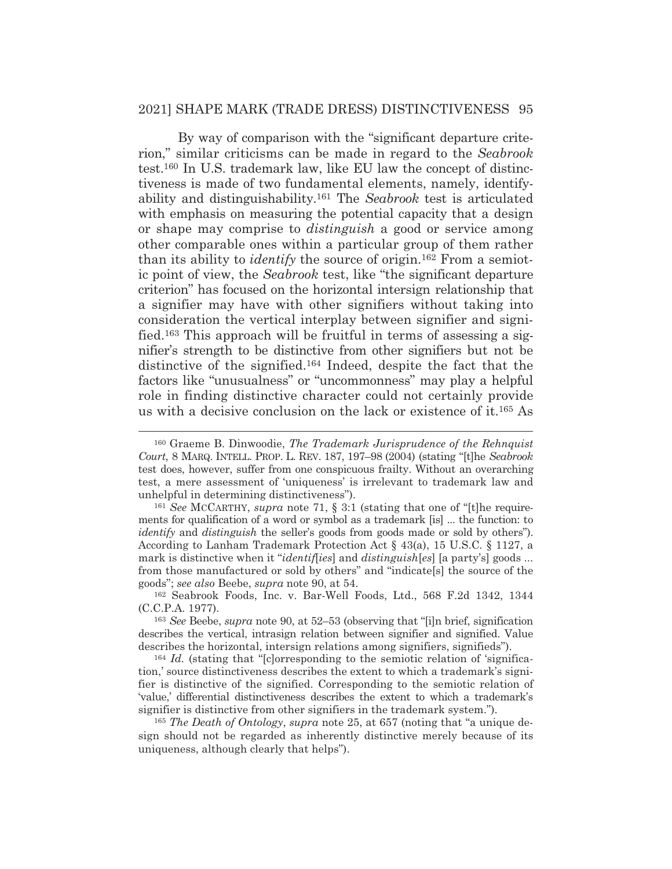By way of comparison with the "significant departure criterion," similar criticisms can be made in regard to the *Seabrook* test.160 In U.S. trademark law, like EU law the concept of distinctiveness is made of two fundamental elements, namely, identifyability and distinguishability.161 The *Seabrook* test is articulated with emphasis on measuring the potential capacity that a design or shape may comprise to *distinguish* a good or service among other comparable ones within a particular group of them rather than its ability to *identify* the source of origin.162 From a semiotic point of view, the *Seabrook* test, like "the significant departure criterion" has focused on the horizontal intersign relationship that a signifier may have with other signifiers without taking into consideration the vertical interplay between signifier and signified.163 This approach will be fruitful in terms of assessing a signifier's strength to be distinctive from other signifiers but not be distinctive of the signified.164 Indeed, despite the fact that the factors like "unusualness" or "uncommonness" may play a helpful role in finding distinctive character could not certainly provide us with a decisive conclusion on the lack or existence of it.165 As

<sup>160</sup> Graeme B. Dinwoodie, *The Trademark Jurisprudence of the Rehnquist Court*, 8 MARQ. INTELL. PROP. L. REV. 187, 197–98 (2004) (stating "[t]he *Seabrook* test does, however, suffer from one conspicuous frailty. Without an overarching test, a mere assessment of 'uniqueness' is irrelevant to trademark law and unhelpful in determining distinctiveness").

<sup>161</sup> *See* MCCARTHY, *supra* note 71, § 3:1 (stating that one of "[t]he requirements for qualification of a word or symbol as a trademark [is] ... the function: to *identify* and *distinguish* the seller's goods from goods made or sold by others"). According to Lanham Trademark Protection Act § 43(a), 15 U.S.C. § 1127, a mark is distinctive when it "*identif*[*ies*] and *distinguish*[*es*] [a party's] goods ... from those manufactured or sold by others" and "indicate[s] the source of the goods"; *see also* Beebe, *supra* note 90, at 54.

<sup>162</sup> Seabrook Foods, Inc. v. Bar-Well Foods, Ltd., 568 F.2d 1342, 1344 (C.C.P.A. 1977).

<sup>163</sup> *See* Beebe, *supra* note 90, at 52–53 (observing that "[i]n brief, signification describes the vertical, intrasign relation between signifier and signified. Value describes the horizontal, intersign relations among signifiers, signifieds").

<sup>164</sup> *Id.* (stating that "[c]orresponding to the semiotic relation of 'signification,' source distinctiveness describes the extent to which a trademark's signifier is distinctive of the signified. Corresponding to the semiotic relation of 'value,' differential distinctiveness describes the extent to which a trademark's signifier is distinctive from other signifiers in the trademark system.").

<sup>165</sup> *The Death of Ontology*, *supra* note 25, at 657 (noting that "a unique design should not be regarded as inherently distinctive merely because of its uniqueness, although clearly that helps").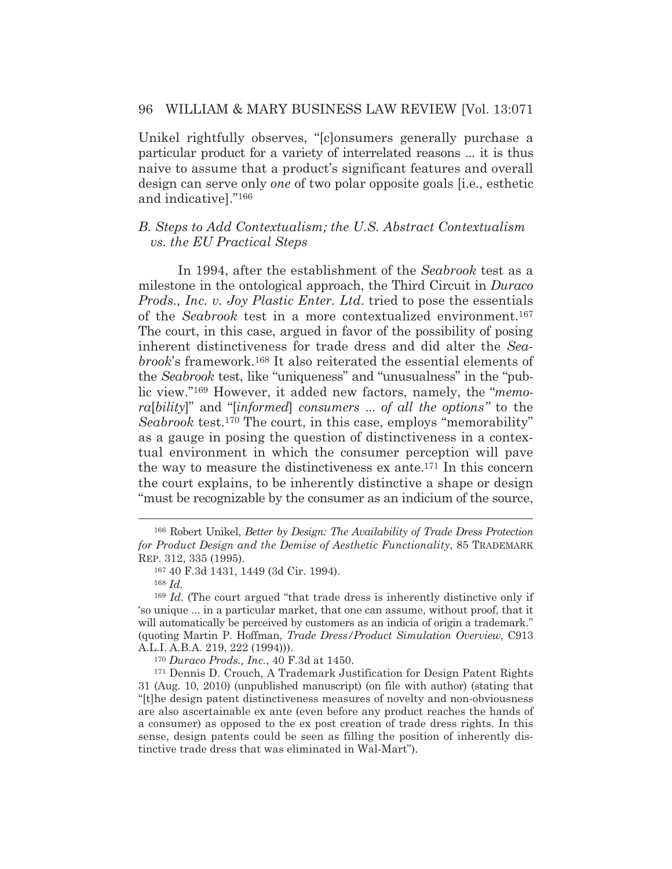Unikel rightfully observes, "[c]onsumers generally purchase a particular product for a variety of interrelated reasons ... it is thus naive to assume that a product's significant features and overall design can serve only *one* of two polar opposite goals [i.e., esthetic and indicative]."166

## *B. Steps to Add Contextualism; the U.S. Abstract Contextualism vs. the EU Practical Steps*

 In 1994, after the establishment of the *Seabrook* test as a milestone in the ontological approach, the Third Circuit in *Duraco Prods., Inc. v. Joy Plastic Enter. Ltd*. tried to pose the essentials of the *Seabrook* test in a more contextualized environment.167 The court, in this case, argued in favor of the possibility of posing inherent distinctiveness for trade dress and did alter the *Seabrook*'s framework.168 It also reiterated the essential elements of the *Seabrook* test, like "uniqueness" and "unusualness" in the "public view."169 However, it added new factors, namely, the "*memora*[*bility*]" and "[*informed*] *consumers* ... *of all the options"* to the *Seabrook* test.170 The court, in this case, employs "memorability" as a gauge in posing the question of distinctiveness in a contextual environment in which the consumer perception will pave the way to measure the distinctiveness ex ante.171 In this concern the court explains, to be inherently distinctive a shape or design "must be recognizable by the consumer as an indicium of the source,

<sup>170</sup> *Duraco Prods., Inc.*, 40 F.3d at 1450.

171 Dennis D. Crouch, A Trademark Justification for Design Patent Rights 31 (Aug. 10, 2010) (unpublished manuscript) (on file with author) (stating that "[t]he design patent distinctiveness measures of novelty and non-obviousness are also ascertainable ex ante (even before any product reaches the hands of a consumer) as opposed to the ex post creation of trade dress rights. In this sense, design patents could be seen as filling the position of inherently distinctive trade dress that was eliminated in Wal-Mart").

<sup>166</sup> Robert Unikel, *Better by Design: The Availability of Trade Dress Protection for Product Design and the Demise of Aesthetic Functionality*, 85 TRADEMARK REP. 312, 335 (1995).

<sup>167 40</sup> F.3d 1431, 1449 (3d Cir. 1994).

<sup>168</sup> *Id.*

<sup>&</sup>lt;sup>169</sup> *Id.* (The court argued "that trade dress is inherently distinctive only if 'so unique ... in a particular market, that one can assume, without proof, that it will automatically be perceived by customers as an indicia of origin a trademark." (quoting Martin P. Hoffman, *Trade Dress/Product Simulation Overview*, C913 A.L.I. A.B.A. 219, 222 (1994))).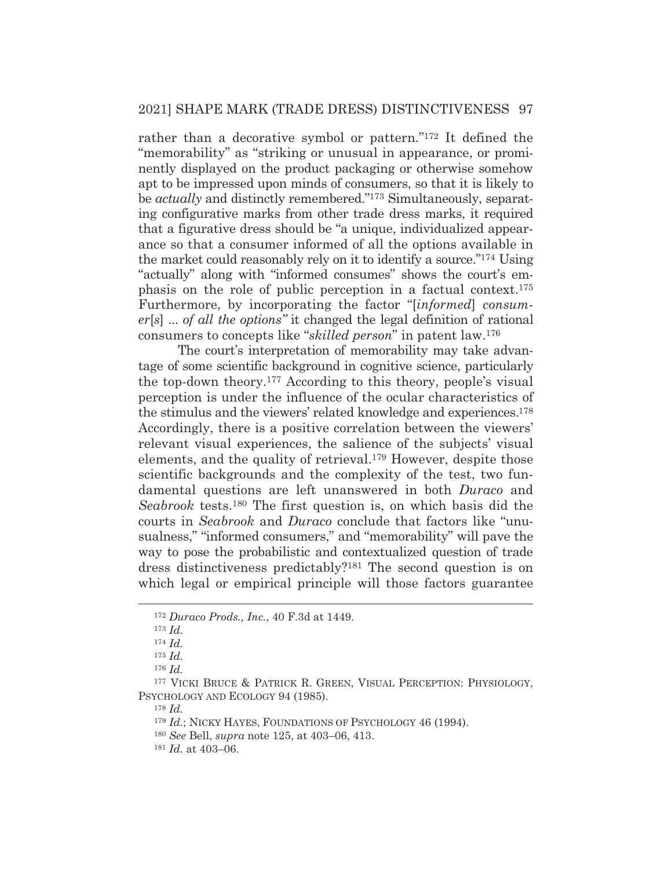rather than a decorative symbol or pattern."172 It defined the "memorability" as "striking or unusual in appearance, or prominently displayed on the product packaging or otherwise somehow apt to be impressed upon minds of consumers, so that it is likely to be *actually* and distinctly remembered."173 Simultaneously, separating configurative marks from other trade dress marks, it required that a figurative dress should be "a unique, individualized appearance so that a consumer informed of all the options available in the market could reasonably rely on it to identify a source."174 Using "actually" along with "informed consumes" shows the court's emphasis on the role of public perception in a factual context.175 Furthermore, by incorporating the factor "[*informed*] *consumer*[*s*] ... *of all the options"* it changed the legal definition of rational consumers to concepts like "*skilled person*" in patent law.176

 The court's interpretation of memorability may take advantage of some scientific background in cognitive science, particularly the top-down theory.177 According to this theory, people's visual perception is under the influence of the ocular characteristics of the stimulus and the viewers' related knowledge and experiences.178 Accordingly, there is a positive correlation between the viewers' relevant visual experiences, the salience of the subjects' visual elements, and the quality of retrieval.179 However, despite those scientific backgrounds and the complexity of the test, two fundamental questions are left unanswered in both *Duraco* and *Seabrook* tests.180 The first question is, on which basis did the courts in *Seabrook* and *Duraco* conclude that factors like "unusualness," "informed consumers," and "memorability" will pave the way to pose the probabilistic and contextualized question of trade dress distinctiveness predictably?181 The second question is on which legal or empirical principle will those factors guarantee

<sup>178</sup> *Id.*

<sup>172</sup> *Duraco Prods., Inc.*, 40 F.3d at 1449.

<sup>173</sup> *Id.*

<sup>174</sup> *Id.*

<sup>175</sup> *Id.*

<sup>176</sup> *Id.*

<sup>177</sup> VICKI BRUCE & PATRICK R. GREEN, VISUAL PERCEPTION: PHYSIOLOGY, PSYCHOLOGY AND ECOLOGY 94 (1985).

<sup>&</sup>lt;sup>179</sup> *Id.*; NICKY HAYES, FOUNDATIONS OF PSYCHOLOGY 46 (1994).

<sup>180</sup> *See* Bell, *supra* note 125, at 403–06, 413.

<sup>181</sup> *Id.* at 403–06.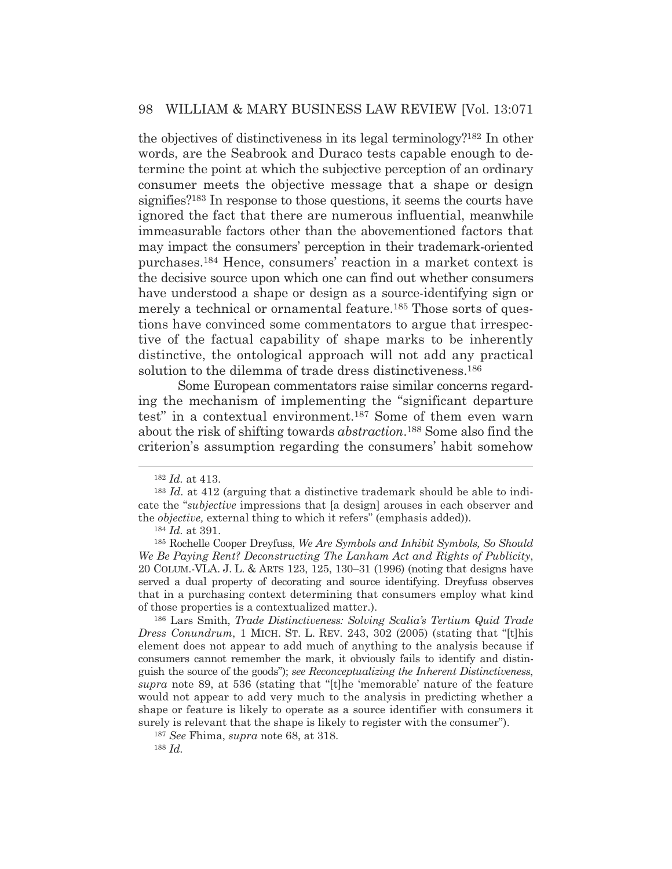the objectives of distinctiveness in its legal terminology?182 In other words, are the Seabrook and Duraco tests capable enough to determine the point at which the subjective perception of an ordinary consumer meets the objective message that a shape or design signifies?183 In response to those questions, it seems the courts have ignored the fact that there are numerous influential, meanwhile immeasurable factors other than the abovementioned factors that may impact the consumers' perception in their trademark-oriented purchases.184 Hence, consumers' reaction in a market context is the decisive source upon which one can find out whether consumers have understood a shape or design as a source-identifying sign or merely a technical or ornamental feature.185 Those sorts of questions have convinced some commentators to argue that irrespective of the factual capability of shape marks to be inherently distinctive, the ontological approach will not add any practical solution to the dilemma of trade dress distinctiveness.<sup>186</sup>

Some European commentators raise similar concerns regarding the mechanism of implementing the "significant departure test" in a contextual environment.187 Some of them even warn about the risk of shifting towards *abstraction*.188 Some also find the criterion's assumption regarding the consumers' habit somehow

<sup>182</sup> *Id.* at 413.

<sup>183</sup> *Id.* at 412 (arguing that a distinctive trademark should be able to indicate the "*subjective* impressions that [a design] arouses in each observer and the *objective,* external thing to which it refers" (emphasis added)).

<sup>184</sup> *Id.* at 391.

<sup>185</sup> Rochelle Cooper Dreyfuss, *We Are Symbols and Inhibit Symbols, So Should We Be Paying Rent? Deconstructing The Lanham Act and Rights of Publicity*, 20 COLUM.-VLA. J. L. & ARTS 123, 125, 130–31 (1996) (noting that designs have served a dual property of decorating and source identifying. Dreyfuss observes that in a purchasing context determining that consumers employ what kind of those properties is a contextualized matter.).

<sup>186</sup> Lars Smith, *Trade Distinctiveness: Solving Scalia's Tertium Quid Trade Dress Conundrum*, 1 MICH. ST. L. REV. 243, 302 (2005) (stating that "[t]his element does not appear to add much of anything to the analysis because if consumers cannot remember the mark, it obviously fails to identify and distinguish the source of the goods"); *see Reconceptualizing the Inherent Distinctiveness*, *supra* note 89, at 536 (stating that "[t]he 'memorable' nature of the feature would not appear to add very much to the analysis in predicting whether a shape or feature is likely to operate as a source identifier with consumers it surely is relevant that the shape is likely to register with the consumer").

<sup>187</sup> *See* Fhima, *supra* note 68, at 318.

<sup>188</sup> *Id.*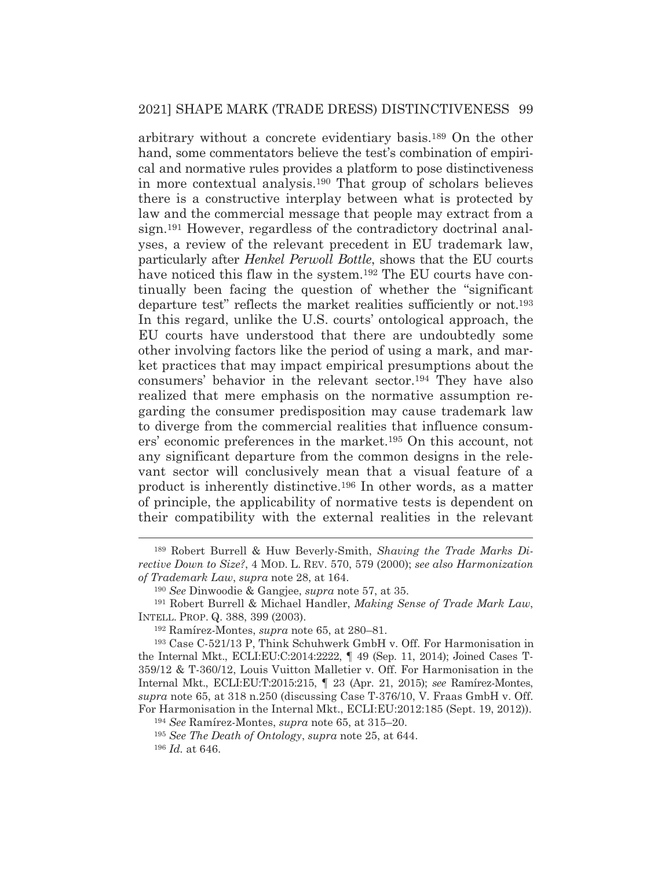arbitrary without a concrete evidentiary basis.189 On the other hand, some commentators believe the test's combination of empirical and normative rules provides a platform to pose distinctiveness in more contextual analysis.190 That group of scholars believes there is a constructive interplay between what is protected by law and the commercial message that people may extract from a sign.191 However, regardless of the contradictory doctrinal analyses, a review of the relevant precedent in EU trademark law, particularly after *Henkel Perwoll Bottle*, shows that the EU courts have noticed this flaw in the system.<sup>192</sup> The EU courts have continually been facing the question of whether the "significant departure test" reflects the market realities sufficiently or not.193 In this regard, unlike the U.S. courts' ontological approach, the EU courts have understood that there are undoubtedly some other involving factors like the period of using a mark, and market practices that may impact empirical presumptions about the consumers' behavior in the relevant sector.194 They have also realized that mere emphasis on the normative assumption regarding the consumer predisposition may cause trademark law to diverge from the commercial realities that influence consumers' economic preferences in the market.195 On this account, not any significant departure from the common designs in the relevant sector will conclusively mean that a visual feature of a product is inherently distinctive.196 In other words, as a matter of principle, the applicability of normative tests is dependent on their compatibility with the external realities in the relevant

<sup>189</sup> Robert Burrell & Huw Beverly-Smith, *Shaving the Trade Marks Directive Down to Size?*, 4 MOD. L. REV. 570, 579 (2000); *see also Harmonization of Trademark Law*, *supra* note 28, at 164.

<sup>190</sup> *See* Dinwoodie & Gangjee, *supra* note 57, at 35.

<sup>191</sup> Robert Burrell & Michael Handler, *Making Sense of Trade Mark Law*, INTELL. PROP. Q. 388, 399 (2003).

<sup>192</sup> Ramírez-Montes, *supra* note 65, at 280–81.

<sup>193</sup> Case C-521/13 P, Think Schuhwerk GmbH v. Off. For Harmonisation in the Internal Mkt., ECLI:EU:C:2014:2222, ¶ 49 (Sep. 11, 2014); Joined Cases T-359/12 & T-360/12, Louis Vuitton Malletier v. Off. For Harmonisation in the Internal Mkt., ECLI:EU:T:2015:215, ¶ 23 (Apr. 21, 2015); *see* Ramírez-Montes, *supra* note 65, at 318 n.250 (discussing Case T-376/10, V. Fraas GmbH v. Off. For Harmonisation in the Internal Mkt., ECLI:EU:2012:185 (Sept. 19, 2012)).

<sup>194</sup> *See* Ramírez-Montes, *supra* note 65, at 315–20.

<sup>195</sup> *See The Death of Ontology*, *supra* note 25, at 644.

<sup>196</sup> *Id.* at 646.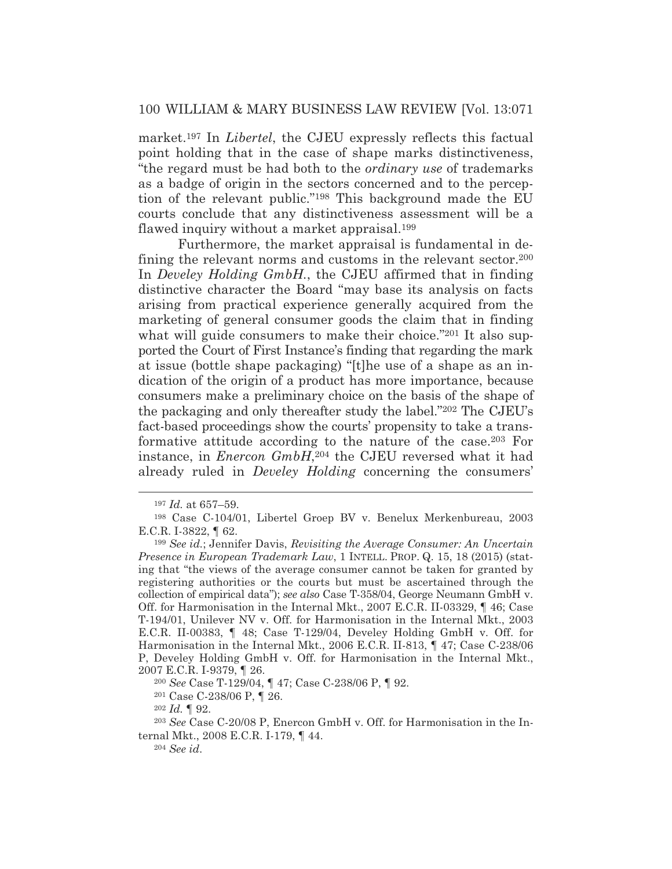market.197 In *Libertel*, the CJEU expressly reflects this factual point holding that in the case of shape marks distinctiveness, "the regard must be had both to the *ordinary use* of trademarks as a badge of origin in the sectors concerned and to the perception of the relevant public."198 This background made the EU courts conclude that any distinctiveness assessment will be a flawed inquiry without a market appraisal.199

 Furthermore, the market appraisal is fundamental in defining the relevant norms and customs in the relevant sector.200 In *Develey Holding GmbH.*, the CJEU affirmed that in finding distinctive character the Board "may base its analysis on facts arising from practical experience generally acquired from the marketing of general consumer goods the claim that in finding what will guide consumers to make their choice."201 It also supported the Court of First Instance's finding that regarding the mark at issue (bottle shape packaging) "[t]he use of a shape as an indication of the origin of a product has more importance, because consumers make a preliminary choice on the basis of the shape of the packaging and only thereafter study the label."202 The CJEU's fact-based proceedings show the courts' propensity to take a transformative attitude according to the nature of the case.203 For instance, in *Enercon GmbH*,<sup>204</sup> the CJEU reversed what it had already ruled in *Develey Holding* concerning the consumers'

<sup>197</sup> *Id.* at 657–59.

<sup>198</sup> Case C-104/01, Libertel Groep BV v. Benelux Merkenbureau, 2003 E.C.R. I-3822, ¶ 62.

<sup>199</sup> *See id.*; Jennifer Davis, *Revisiting the Average Consumer: An Uncertain Presence in European Trademark Law*, 1 INTELL. PROP. Q. 15, 18 (2015) (stating that "the views of the average consumer cannot be taken for granted by registering authorities or the courts but must be ascertained through the collection of empirical data"); *see also* Case T-358/04, George Neumann GmbH v. Off. for Harmonisation in the Internal Mkt., 2007 E.C.R. II-03329, ¶ 46; Case T-194/01, Unilever NV v. Off. for Harmonisation in the Internal Mkt., 2003 E.C.R. II-00383, ¶ 48; Case T-129/04, Develey Holding GmbH v. Off. for Harmonisation in the Internal Mkt., 2006 E.C.R. II-813, ¶ 47; Case C-238/06 P, Develey Holding GmbH v. Off. for Harmonisation in the Internal Mkt., 2007 E.C.R. I-9379, ¶ 26.

<sup>200</sup> *See* Case T-129/04, ¶ 47; Case C-238/06 P, ¶ 92.

<sup>201</sup> Case C-238/06 P, ¶ 26.

<sup>202</sup> *Id.* ¶ 92.

<sup>203</sup> *See* Case C-20/08 P, Enercon GmbH v. Off. for Harmonisation in the Internal Mkt., 2008 E.C.R. I-179, ¶ 44.

<sup>204</sup> *See id*.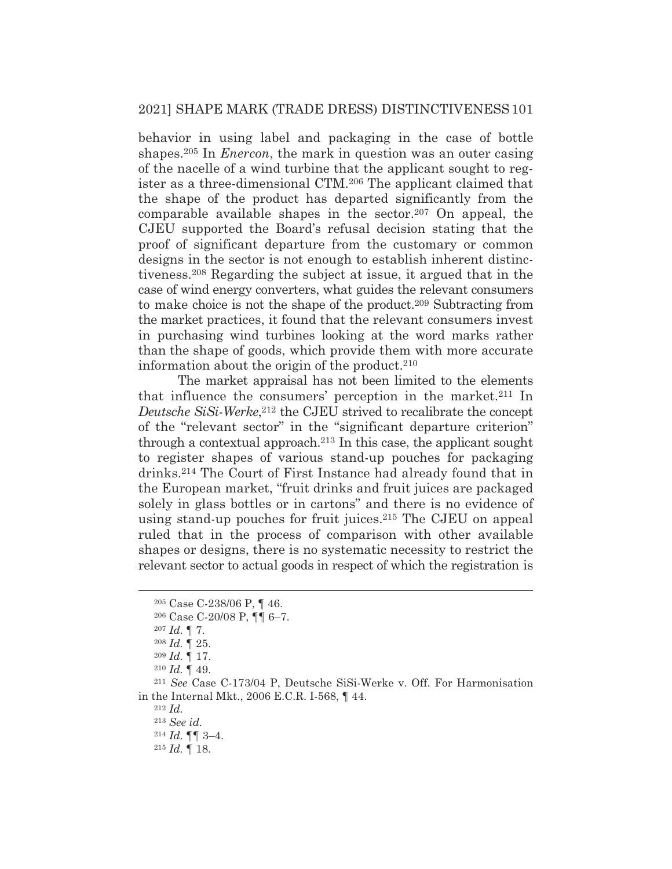behavior in using label and packaging in the case of bottle shapes.205 In *Enercon*, the mark in question was an outer casing of the nacelle of a wind turbine that the applicant sought to register as a three-dimensional CTM.206 The applicant claimed that the shape of the product has departed significantly from the comparable available shapes in the sector.207 On appeal, the CJEU supported the Board's refusal decision stating that the proof of significant departure from the customary or common designs in the sector is not enough to establish inherent distinctiveness.208 Regarding the subject at issue, it argued that in the case of wind energy converters, what guides the relevant consumers to make choice is not the shape of the product.209 Subtracting from the market practices, it found that the relevant consumers invest in purchasing wind turbines looking at the word marks rather than the shape of goods, which provide them with more accurate information about the origin of the product.<sup>210</sup>

 The market appraisal has not been limited to the elements that influence the consumers' perception in the market.211 In *Deutsche SiSi-Werke*, 212 the CJEU strived to recalibrate the concept of the "relevant sector" in the "significant departure criterion" through a contextual approach.213 In this case, the applicant sought to register shapes of various stand-up pouches for packaging drinks.214 The Court of First Instance had already found that in the European market, "fruit drinks and fruit juices are packaged solely in glass bottles or in cartons" and there is no evidence of using stand-up pouches for fruit juices.215 The CJEU on appeal ruled that in the process of comparison with other available shapes or designs, there is no systematic necessity to restrict the relevant sector to actual goods in respect of which the registration is

<sup>205</sup> Case C-238/06 P, ¶ 46.

<sup>206</sup> Case C-20/08 P, ¶¶ 6–7.

<sup>207</sup> *Id.* ¶ 7.

<sup>208</sup> *Id.* ¶ 25.

<sup>209</sup> *Id.* ¶ 17.

<sup>210</sup> *Id.* ¶ 49. 211 *See* Case C-173/04 P, Deutsche SiSi-Werke v. Off. For Harmonisation in the Internal Mkt., 2006 E.C.R. I-568, ¶ 44. 212 *Id.*

<sup>213</sup> *See id.* 

<sup>214</sup> *Id.* ¶¶ 3–4.

<sup>215</sup> *Id.* ¶ 18.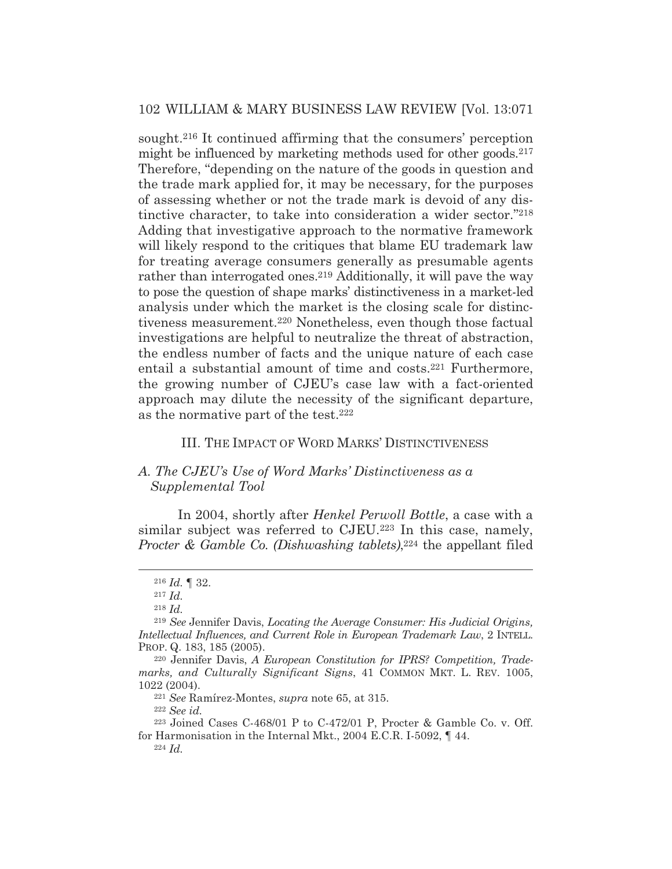sought.216 It continued affirming that the consumers' perception might be influenced by marketing methods used for other goods.<sup>217</sup> Therefore, "depending on the nature of the goods in question and the trade mark applied for, it may be necessary, for the purposes of assessing whether or not the trade mark is devoid of any distinctive character, to take into consideration a wider sector."218 Adding that investigative approach to the normative framework will likely respond to the critiques that blame EU trademark law for treating average consumers generally as presumable agents rather than interrogated ones.<sup>219</sup> Additionally, it will pave the way to pose the question of shape marks' distinctiveness in a market-led analysis under which the market is the closing scale for distinctiveness measurement.220 Nonetheless, even though those factual investigations are helpful to neutralize the threat of abstraction, the endless number of facts and the unique nature of each case entail a substantial amount of time and costs.<sup>221</sup> Furthermore, the growing number of CJEU's case law with a fact-oriented approach may dilute the necessity of the significant departure, as the normative part of the test.222

## III. THE IMPACT OF WORD MARKS' DISTINCTIVENESS

## *A. The CJEU's Use of Word Marks' Distinctiveness as a Supplemental Tool*

 In 2004, shortly after *Henkel Perwoll Bottle*, a case with a similar subject was referred to CJEU.<sup>223</sup> In this case, namely, *Procter & Gamble Co. (Dishwashing tablets)*,<sup>224</sup> the appellant filed

<sup>216</sup> *Id.* ¶ 32.

<sup>217</sup> *Id.*

<sup>218</sup> *Id.*

<sup>219</sup> *See* Jennifer Davis, *Locating the Average Consumer: His Judicial Origins, Intellectual Influences, and Current Role in European Trademark Law*, 2 INTELL. PROP. Q. 183, 185 (2005).

<sup>220</sup> Jennifer Davis, *A European Constitution for IPRS? Competition, Trademarks, and Culturally Significant Signs*, 41 COMMON MKT. L. REV. 1005, 1022 (2004). 221 *See* Ramírez-Montes, *supra* note 65, at 315. 222 *See id.* 

<sup>223</sup> Joined Cases C-468/01 P to C-472/01 P, Procter & Gamble Co. v. Off. for Harmonisation in the Internal Mkt., 2004 E.C.R. I-5092, ¶ 44. 224 *Id.*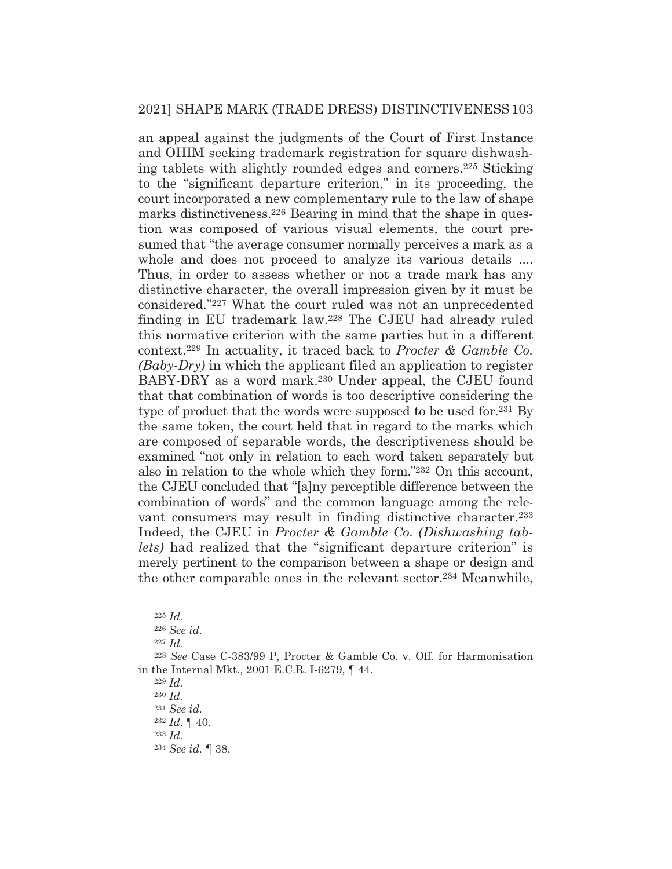an appeal against the judgments of the Court of First Instance and OHIM seeking trademark registration for square dishwashing tablets with slightly rounded edges and corners.225 Sticking to the "significant departure criterion," in its proceeding, the court incorporated a new complementary rule to the law of shape marks distinctiveness.<sup>226</sup> Bearing in mind that the shape in question was composed of various visual elements, the court presumed that "the average consumer normally perceives a mark as a whole and does not proceed to analyze its various details .... Thus, in order to assess whether or not a trade mark has any distinctive character, the overall impression given by it must be considered."227 What the court ruled was not an unprecedented finding in EU trademark law.228 The CJEU had already ruled this normative criterion with the same parties but in a different context.229 In actuality, it traced back to *Procter & Gamble Co. (Baby-Dry)* in which the applicant filed an application to register BABY-DRY as a word mark.<sup>230</sup> Under appeal, the CJEU found that that combination of words is too descriptive considering the type of product that the words were supposed to be used for.231 By the same token, the court held that in regard to the marks which are composed of separable words, the descriptiveness should be examined "not only in relation to each word taken separately but also in relation to the whole which they form."232 On this account, the CJEU concluded that "[a]ny perceptible difference between the combination of words" and the common language among the relevant consumers may result in finding distinctive character.<sup>233</sup> Indeed, the CJEU in *Procter & Gamble Co. (Dishwashing tablets)* had realized that the "significant departure criterion" is merely pertinent to the comparison between a shape or design and the other comparable ones in the relevant sector.234 Meanwhile,

<sup>229</sup> *Id.*

<sup>230</sup> *Id.*

<sup>233</sup> *Id.*

<sup>225</sup> *Id.*

<sup>226</sup> *See id.*

<sup>227</sup> *Id.*

<sup>228</sup> *See* Case C-383/99 P, Procter & Gamble Co. v. Off. for Harmonisation in the Internal Mkt., 2001 E.C.R. I-6279, ¶ 44.

<sup>231</sup> *See id.* 

<sup>232</sup> *Id.* ¶ 40.

<sup>234</sup> *See id.* ¶ 38.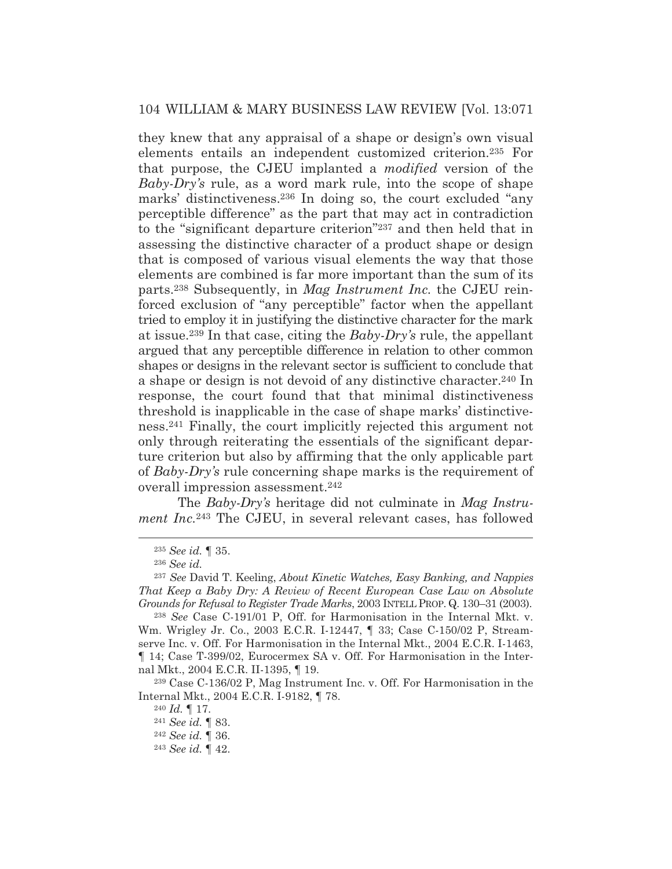they knew that any appraisal of a shape or design's own visual elements entails an independent customized criterion.235 For that purpose, the CJEU implanted a *modified* version of the *Baby-Dry's* rule, as a word mark rule, into the scope of shape marks' distinctiveness.236 In doing so, the court excluded "any perceptible difference" as the part that may act in contradiction to the "significant departure criterion"237 and then held that in assessing the distinctive character of a product shape or design that is composed of various visual elements the way that those elements are combined is far more important than the sum of its parts.238 Subsequently, in *Mag Instrument Inc.* the CJEU reinforced exclusion of "any perceptible" factor when the appellant tried to employ it in justifying the distinctive character for the mark at issue.239 In that case, citing the *Baby-Dry's* rule, the appellant argued that any perceptible difference in relation to other common shapes or designs in the relevant sector is sufficient to conclude that a shape or design is not devoid of any distinctive character.240 In response, the court found that that minimal distinctiveness threshold is inapplicable in the case of shape marks' distinctiveness.241 Finally, the court implicitly rejected this argument not only through reiterating the essentials of the significant departure criterion but also by affirming that the only applicable part of *Baby-Dry's* rule concerning shape marks is the requirement of overall impression assessment.242

 The *Baby-Dry's* heritage did not culminate in *Mag Instrument Inc.*<sup>243</sup> The CJEU, in several relevant cases, has followed

239 Case C-136/02 P, Mag Instrument Inc. v. Off. For Harmonisation in the Internal Mkt., 2004 E.C.R. I-9182, ¶ 78.

<sup>235</sup> *See id.* ¶ 35.

<sup>236</sup> *See id.* 

<sup>237</sup> *See* David T. Keeling, *About Kinetic Watches, Easy Banking, and Nappies That Keep a Baby Dry: A Review of Recent European Case Law on Absolute Grounds for Refusal to Register Trade Marks*, 2003 INTELL PROP. Q. 130–31 (2003).

<sup>238</sup> *See* Case C-191/01 P, Off. for Harmonisation in the Internal Mkt. v. Wm. Wrigley Jr. Co., 2003 E.C.R. I-12447, ¶ 33; Case C-150/02 P, Streamserve Inc. v. Off. For Harmonisation in the Internal Mkt., 2004 E.C.R. I-1463, ¶ 14; Case T-399/02, Eurocermex SA v. Off. For Harmonisation in the Internal Mkt., 2004 E.C.R. II-1395, ¶ 19.

<sup>240</sup> *Id.* ¶ 17. 241 *See id.* ¶ 83. 242 *See id.* ¶ 36.

<sup>243</sup> *See id.* ¶ 42.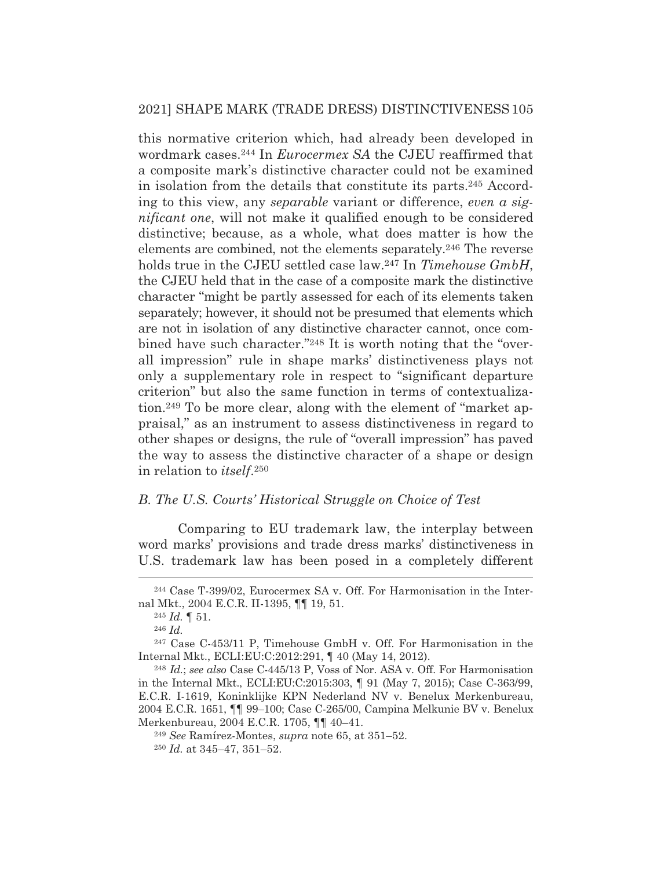this normative criterion which, had already been developed in wordmark cases.244 In *Eurocermex SA* the CJEU reaffirmed that a composite mark's distinctive character could not be examined in isolation from the details that constitute its parts.245 According to this view, any *separable* variant or difference, *even a significant one*, will not make it qualified enough to be considered distinctive; because, as a whole, what does matter is how the elements are combined, not the elements separately.246 The reverse holds true in the CJEU settled case law.247 In *Timehouse GmbH*, the CJEU held that in the case of a composite mark the distinctive character "might be partly assessed for each of its elements taken separately; however, it should not be presumed that elements which are not in isolation of any distinctive character cannot, once combined have such character."248 It is worth noting that the "overall impression" rule in shape marks' distinctiveness plays not only a supplementary role in respect to "significant departure criterion" but also the same function in terms of contextualization.249 To be more clear, along with the element of "market appraisal," as an instrument to assess distinctiveness in regard to other shapes or designs, the rule of "overall impression" has paved the way to assess the distinctive character of a shape or design in relation to *itself*.250

#### *B. The U.S. Courts' Historical Struggle on Choice of Test*

 Comparing to EU trademark law, the interplay between word marks' provisions and trade dress marks' distinctiveness in U.S. trademark law has been posed in a completely different

<sup>249</sup> *See* Ramírez-Montes, *supra* note 65, at 351–52.

<sup>244</sup> Case T-399/02, Eurocermex SA v. Off. For Harmonisation in the Internal Mkt., 2004 E.C.R. II-1395, ¶¶ 19, 51.

<sup>245</sup> *Id.* ¶ 51.

<sup>246</sup> *Id.*

<sup>247</sup> Case C-453/11 P, Timehouse GmbH v. Off. For Harmonisation in the Internal Mkt., ECLI:EU:C:2012:291, ¶ 40 (May 14, 2012).

<sup>248</sup> *Id.*; *see also* Case C-445/13 P, Voss of Nor. ASA v. Off. For Harmonisation in the Internal Mkt., ECLI:EU:C:2015:303, ¶ 91 (May 7, 2015); Case C-363/99, E.C.R. I-1619, Koninklijke KPN Nederland NV v. Benelux Merkenbureau, 2004 E.C.R. 1651, ¶¶ 99–100; Case C-265/00, Campina Melkunie BV v. Benelux Merkenbureau, 2004 E.C.R. 1705, ¶¶ 40–41.

<sup>250</sup> *Id.* at 345–47, 351–52.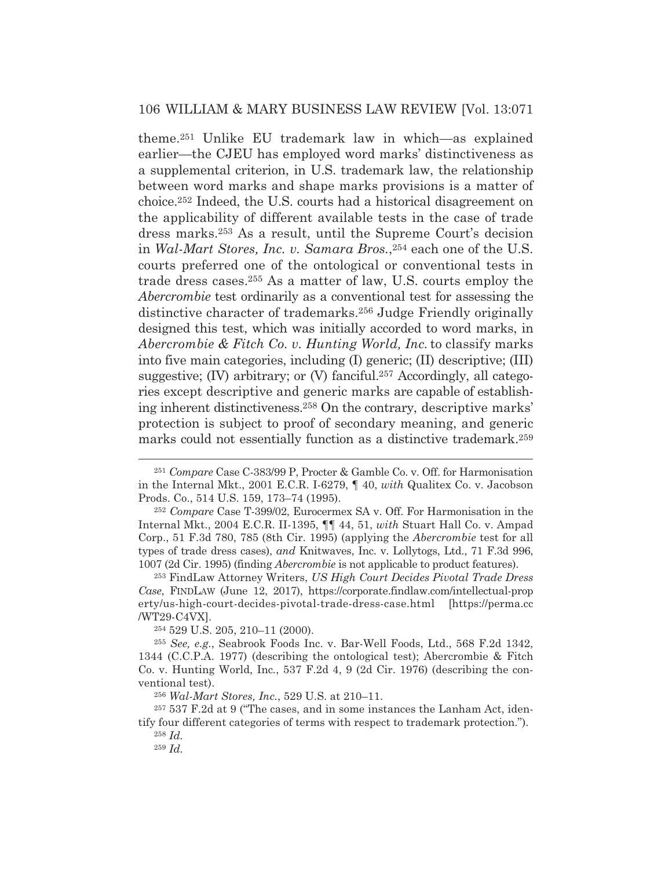theme.251 Unlike EU trademark law in which—as explained earlier—the CJEU has employed word marks' distinctiveness as a supplemental criterion, in U.S. trademark law, the relationship between word marks and shape marks provisions is a matter of choice.252 Indeed, the U.S. courts had a historical disagreement on the applicability of different available tests in the case of trade dress marks.253 As a result, until the Supreme Court's decision in *Wal-Mart Stores, Inc. v. Samara Bros.*,254 each one of the U.S. courts preferred one of the ontological or conventional tests in trade dress cases.255 As a matter of law, U.S. courts employ the *Abercrombie* test ordinarily as a conventional test for assessing the distinctive character of trademarks.256 Judge Friendly originally designed this test, which was initially accorded to word marks, in *Abercrombie & Fitch Co. v. Hunting World, Inc.*to classify marks into five main categories, including (I) generic; (II) descriptive; (III) suggestive; (IV) arbitrary; or (V) fanciful.<sup>257</sup> Accordingly, all categories except descriptive and generic marks are capable of establishing inherent distinctiveness.258 On the contrary, descriptive marks' protection is subject to proof of secondary meaning, and generic marks could not essentially function as a distinctive trademark.259

254 529 U.S. 205, 210–11 (2000).

<sup>251</sup> *Compare* Case C-383/99 P, Procter & Gamble Co. v. Off. for Harmonisation in the Internal Mkt., 2001 E.C.R. I-6279, ¶ 40, *with* Qualitex Co. v. Jacobson Prods. Co., 514 U.S. 159, 173–74 (1995).

<sup>252</sup> *Compare* Case T-399/02, Eurocermex SA v. Off. For Harmonisation in the Internal Mkt., 2004 E.C.R. II-1395, ¶¶ 44, 51, *with* Stuart Hall Co. v. Ampad Corp., 51 F.3d 780, 785 (8th Cir. 1995) (applying the *Abercrombie* test for all types of trade dress cases), *and* Knitwaves, Inc. v. Lollytogs, Ltd., 71 F.3d 996, 1007 (2d Cir. 1995) (finding *Abercrombie* is not applicable to product features).

<sup>253</sup> FindLaw Attorney Writers, *US High Court Decides Pivotal Trade Dress Case*, FINDLAW (June 12, 2017), https://corporate.findlaw.com/intellectual-prop erty/us-high-court-decides-pivotal-trade-dress-case.html [https://perma.cc /WT29-C4VX].

<sup>255</sup> *See, e.g.*, Seabrook Foods Inc. v. Bar-Well Foods, Ltd., 568 F.2d 1342, 1344 (C.C.P.A. 1977) (describing the ontological test); Abercrombie & Fitch Co. v. Hunting World, Inc*.*, 537 F.2d 4, 9 (2d Cir. 1976) (describing the conventional test).

<sup>256</sup> *Wal-Mart Stores, Inc.*, 529 U.S. at 210–11.

<sup>257 537</sup> F.2d at 9 ("The cases, and in some instances the Lanham Act, identify four different categories of terms with respect to trademark protection."). <sup>258</sup> *Id.*

<sup>259</sup> *Id.*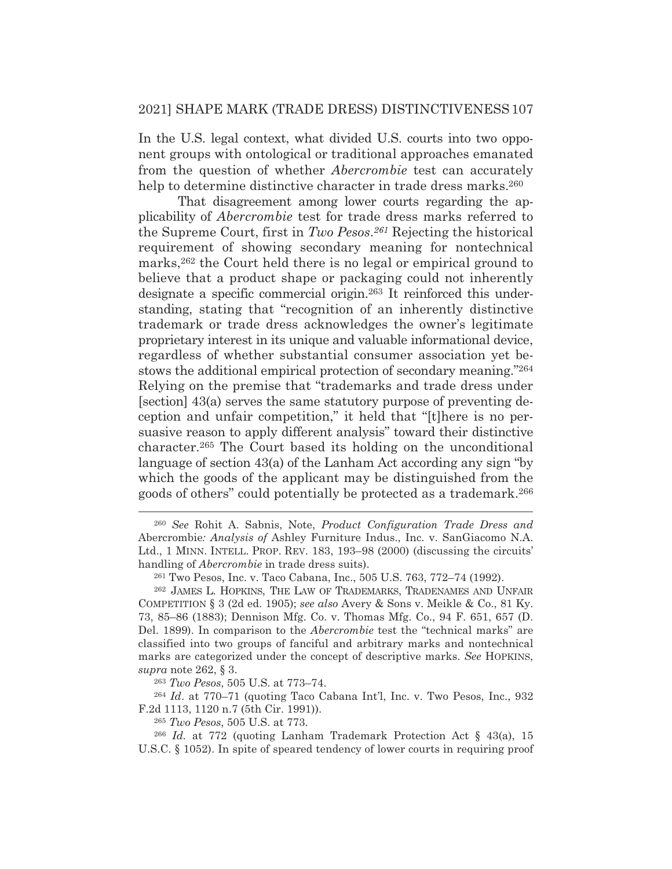In the U.S. legal context, what divided U.S. courts into two opponent groups with ontological or traditional approaches emanated from the question of whether *Abercrombie* test can accurately help to determine distinctive character in trade dress marks.<sup>260</sup>

That disagreement among lower courts regarding the applicability of *Abercrombie* test for trade dress marks referred to the Supreme Court, first in *Two Pesos*.*261* Rejecting the historical requirement of showing secondary meaning for nontechnical marks,262 the Court held there is no legal or empirical ground to believe that a product shape or packaging could not inherently designate a specific commercial origin.263 It reinforced this understanding, stating that "recognition of an inherently distinctive trademark or trade dress acknowledges the owner's legitimate proprietary interest in its unique and valuable informational device, regardless of whether substantial consumer association yet bestows the additional empirical protection of secondary meaning."264 Relying on the premise that "trademarks and trade dress under [section] 43(a) serves the same statutory purpose of preventing deception and unfair competition," it held that "[t]here is no persuasive reason to apply different analysis" toward their distinctive character.265 The Court based its holding on the unconditional language of section 43(a) of the Lanham Act according any sign "by which the goods of the applicant may be distinguished from the goods of others" could potentially be protected as a trademark.266

<sup>260</sup> *See* Rohit A. Sabnis, Note, *Product Configuration Trade Dress and*  Abercrombie*: Analysis of* Ashley Furniture Indus., Inc. v. SanGiacomo N.A. Ltd., 1 MINN. INTELL. PROP. REV. 183, 193–98 (2000) (discussing the circuits' handling of *Abercrombie* in trade dress suits).

<sup>261</sup> Two Pesos, Inc. v. Taco Cabana, Inc., 505 U.S. 763, 772–74 (1992).

<sup>262</sup> JAMES L. HOPKINS, THE LAW OF TRADEMARKS, TRADENAMES AND UNFAIR COMPETITION § 3 (2d ed. 1905); *see also* Avery & Sons v. Meikle & Co., 81 Ky. 73, 85–86 (1883); Dennison Mfg. Co. v. Thomas Mfg. Co., 94 F. 651, 657 (D. Del. 1899). In comparison to the *Abercrombie* test the "technical marks" are classified into two groups of fanciful and arbitrary marks and nontechnical marks are categorized under the concept of descriptive marks. *See* HOPKINS, *supra* note 262, § 3.

<sup>263</sup> *Two Pesos*, 505 U.S. at 773–74.

<sup>264</sup> *Id*. at 770–71 (quoting Taco Cabana Int'l, Inc. v. Two Pesos, Inc., 932 F.2d 1113, 1120 n.7 (5th Cir. 1991)).

<sup>265</sup> *Two Pesos*, 505 U.S. at 773.

<sup>266</sup> *Id.* at 772 (quoting Lanham Trademark Protection Act § 43(a), 15 U.S.C. § 1052). In spite of speared tendency of lower courts in requiring proof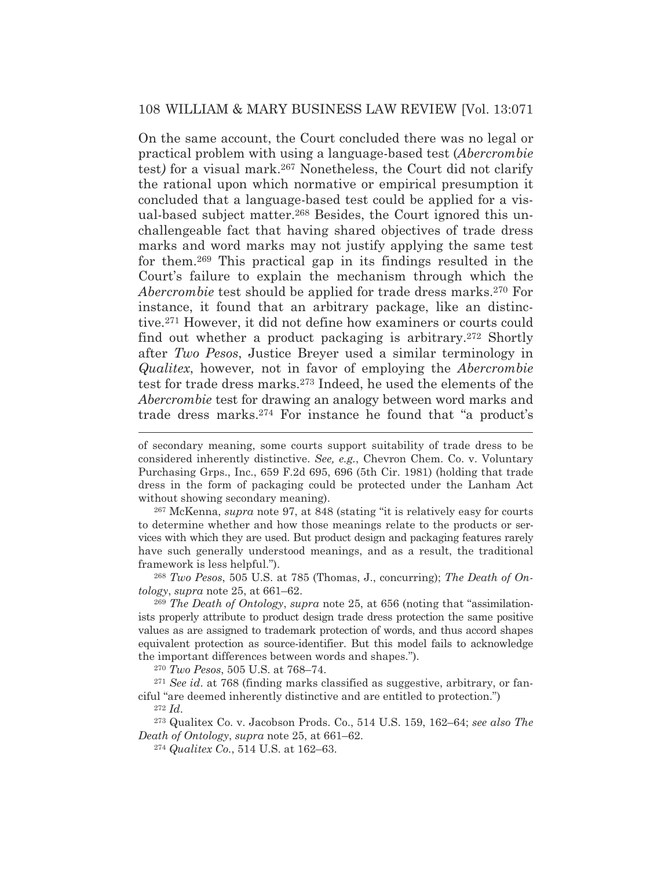On the same account, the Court concluded there was no legal or practical problem with using a language-based test (*Abercrombie*  test*)* for a visual mark.267 Nonetheless, the Court did not clarify the rational upon which normative or empirical presumption it concluded that a language-based test could be applied for a visual-based subject matter.268 Besides, the Court ignored this unchallengeable fact that having shared objectives of trade dress marks and word marks may not justify applying the same test for them.269 This practical gap in its findings resulted in the Court's failure to explain the mechanism through which the *Abercrombie* test should be applied for trade dress marks.270 For instance, it found that an arbitrary package, like an distinctive.271 However, it did not define how examiners or courts could find out whether a product packaging is arbitrary.272 Shortly after *Two Pesos*, Justice Breyer used a similar terminology in *Qualitex*, however*,* not in favor of employing the *Abercrombie* test for trade dress marks.273 Indeed, he used the elements of the *Abercrombie* test for drawing an analogy between word marks and trade dress marks.274 For instance he found that "a product's

267 McKenna, *supra* note 97, at 848 (stating "it is relatively easy for courts to determine whether and how those meanings relate to the products or services with which they are used. But product design and packaging features rarely have such generally understood meanings, and as a result, the traditional framework is less helpful.").

<sup>268</sup> *Two Pesos*, 505 U.S. at 785 (Thomas, J., concurring); *The Death of Ontology*, *supra* note 25, at 661–62.

<sup>269</sup> *The Death of Ontology*, *supra* note 25, at 656 (noting that "assimilationists properly attribute to product design trade dress protection the same positive values as are assigned to trademark protection of words, and thus accord shapes equivalent protection as source-identifier. But this model fails to acknowledge the important differences between words and shapes.").

<sup>270</sup> *Two Pesos*, 505 U.S. at 768–74.

<sup>271</sup> *See id*. at 768 (finding marks classified as suggestive, arbitrary, or fanciful "are deemed inherently distinctive and are entitled to protection.")

<sup>272</sup> *Id*.

273 Qualitex Co. v. Jacobson Prods. Co., 514 U.S. 159, 162–64; *see also The Death of Ontology*, *supra* note 25, at 661–62.

<sup>274</sup> *Qualitex Co.*, 514 U.S. at 162–63.

of secondary meaning, some courts support suitability of trade dress to be considered inherently distinctive. *See, e.g.*, Chevron Chem. Co. v. Voluntary Purchasing Grps., Inc., 659 F.2d 695, 696 (5th Cir. 1981) (holding that trade dress in the form of packaging could be protected under the Lanham Act without showing secondary meaning).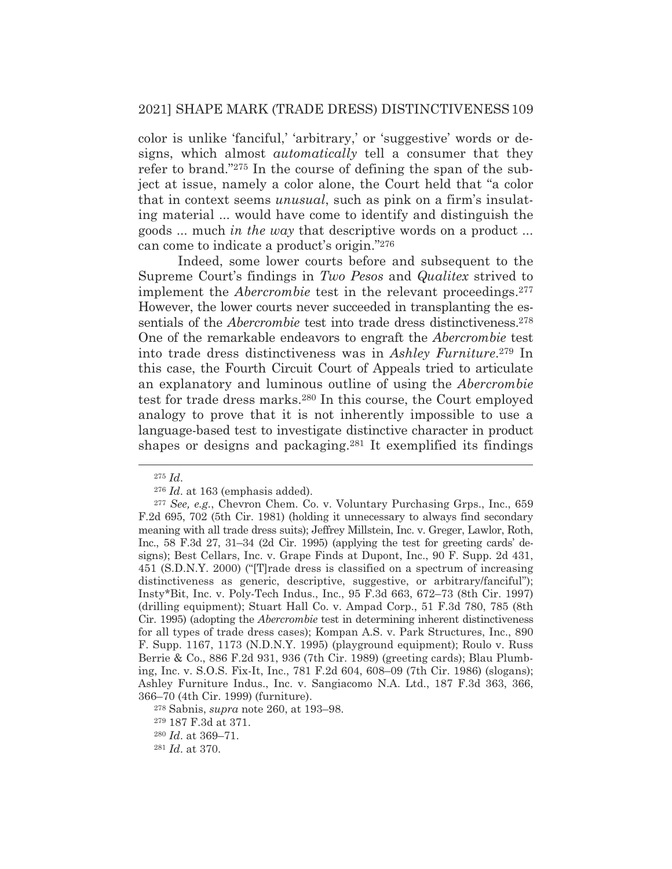color is unlike 'fanciful,' 'arbitrary,' or 'suggestive' words or designs, which almost *automatically* tell a consumer that they refer to brand."275 In the course of defining the span of the subject at issue, namely a color alone, the Court held that "a color that in context seems *unusual*, such as pink on a firm's insulating material ... would have come to identify and distinguish the goods ... much *in the way* that descriptive words on a product ... can come to indicate a product's origin."276

 Indeed, some lower courts before and subsequent to the Supreme Court's findings in *Two Pesos* and *Qualitex* strived to implement the *Abercrombie* test in the relevant proceedings.277 However, the lower courts never succeeded in transplanting the essentials of the *Abercrombie* test into trade dress distinctiveness.<sup>278</sup> One of the remarkable endeavors to engraft the *Abercrombie* test into trade dress distinctiveness was in *Ashley Furniture*.279 In this case, the Fourth Circuit Court of Appeals tried to articulate an explanatory and luminous outline of using the *Abercrombie* test for trade dress marks.280 In this course, the Court employed analogy to prove that it is not inherently impossible to use a language-based test to investigate distinctive character in product shapes or designs and packaging.281 It exemplified its findings

<sup>275</sup> *Id*.

<sup>276</sup> *Id*. at 163 (emphasis added).

<sup>277</sup> *See, e.g.*, Chevron Chem. Co. v. Voluntary Purchasing Grps., Inc., 659 F.2d 695, 702 (5th Cir. 1981) (holding it unnecessary to always find secondary meaning with all trade dress suits); Jeffrey Millstein, Inc. v. Greger, Lawlor, Roth, Inc., 58 F.3d 27, 31–34 (2d Cir. 1995) (applying the test for greeting cards' designs); Best Cellars, Inc. v. Grape Finds at Dupont, Inc., 90 F. Supp. 2d 431, 451 (S.D.N.Y. 2000) ("[T]rade dress is classified on a spectrum of increasing distinctiveness as generic, descriptive, suggestive, or arbitrary/fanciful"); Insty\*Bit, Inc. v. Poly-Tech Indus., Inc., 95 F.3d 663, 672–73 (8th Cir. 1997) (drilling equipment); Stuart Hall Co. v. Ampad Corp., 51 F.3d 780, 785 (8th Cir. 1995) (adopting the *Abercrombie* test in determining inherent distinctiveness for all types of trade dress cases); Kompan A.S. v. Park Structures, Inc., 890 F. Supp. 1167, 1173 (N.D.N.Y. 1995) (playground equipment); Roulo v. Russ Berrie & Co., 886 F.2d 931, 936 (7th Cir. 1989) (greeting cards); Blau Plumbing, Inc. v. S.O.S. Fix-It, Inc., 781 F.2d 604, 608–09 (7th Cir. 1986) (slogans); Ashley Furniture Indus., Inc. v. Sangiacomo N.A. Ltd., 187 F.3d 363, 366, 366–70 (4th Cir. 1999) (furniture).

<sup>278</sup> Sabnis, *supra* note 260, at 193–98.

<sup>279 187</sup> F.3d at 371.

<sup>280</sup> *Id*. at 369–71.

<sup>281</sup> *Id*. at 370.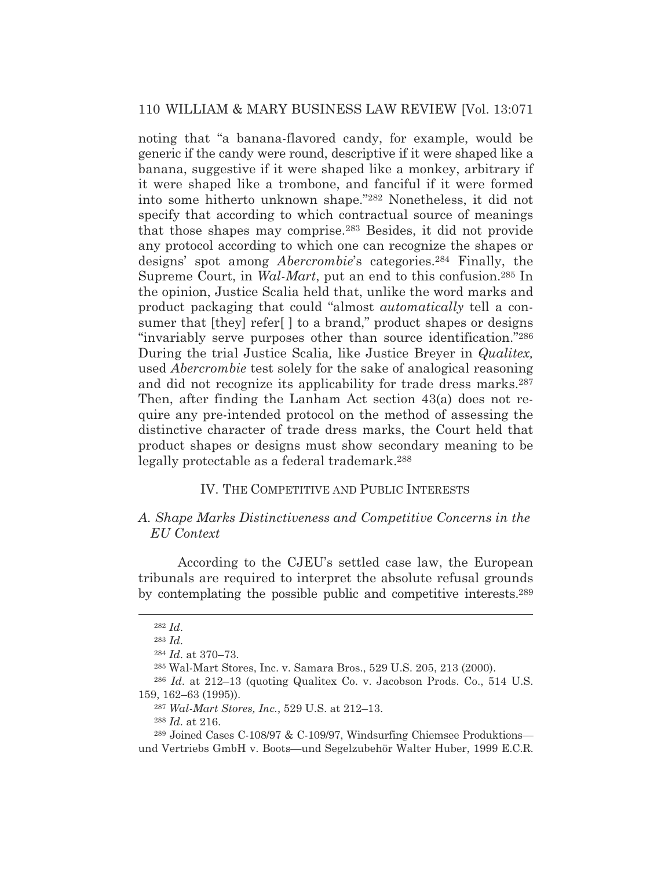noting that "a banana-flavored candy, for example, would be generic if the candy were round, descriptive if it were shaped like a banana, suggestive if it were shaped like a monkey, arbitrary if it were shaped like a trombone, and fanciful if it were formed into some hitherto unknown shape."282 Nonetheless, it did not specify that according to which contractual source of meanings that those shapes may comprise.283 Besides, it did not provide any protocol according to which one can recognize the shapes or designs' spot among *Abercrombie*'s categories.284 Finally, the Supreme Court, in *Wal-Mart*, put an end to this confusion.285 In the opinion, Justice Scalia held that, unlike the word marks and product packaging that could "almost *automatically* tell a consumer that [they] refer[ ] to a brand," product shapes or designs "invariably serve purposes other than source identification."286 During the trial Justice Scalia*,* like Justice Breyer in *Qualitex,* used *Abercrombie* test solely for the sake of analogical reasoning and did not recognize its applicability for trade dress marks.<sup>287</sup> Then, after finding the Lanham Act section 43(a) does not require any pre-intended protocol on the method of assessing the distinctive character of trade dress marks, the Court held that product shapes or designs must show secondary meaning to be legally protectable as a federal trademark.288

## IV. THE COMPETITIVE AND PUBLIC INTERESTS

## *A. Shape Marks Distinctiveness and Competitive Concerns in the EU Context*

According to the CJEU's settled case law, the European tribunals are required to interpret the absolute refusal grounds by contemplating the possible public and competitive interests.289

<sup>282</sup> *Id*.

<sup>283</sup> *Id*.

<sup>284</sup> *Id*. at 370–73.

<sup>285</sup> Wal-Mart Stores, Inc. v. Samara Bros., 529 U.S. 205, 213 (2000).

<sup>286</sup> *Id*. at 212–13 (quoting Qualitex Co. v. Jacobson Prods. Co., 514 U.S. 159, 162–63 (1995)).

<sup>287</sup> *Wal-Mart Stores, Inc.*, 529 U.S. at 212–13.

<sup>288</sup> *Id*. at 216.

<sup>289</sup> Joined Cases C-108/97 & C-109/97, Windsurfing Chiemsee Produktions und Vertriebs GmbH v. Boots—und Segelzubehör Walter Huber, 1999 E.C.R.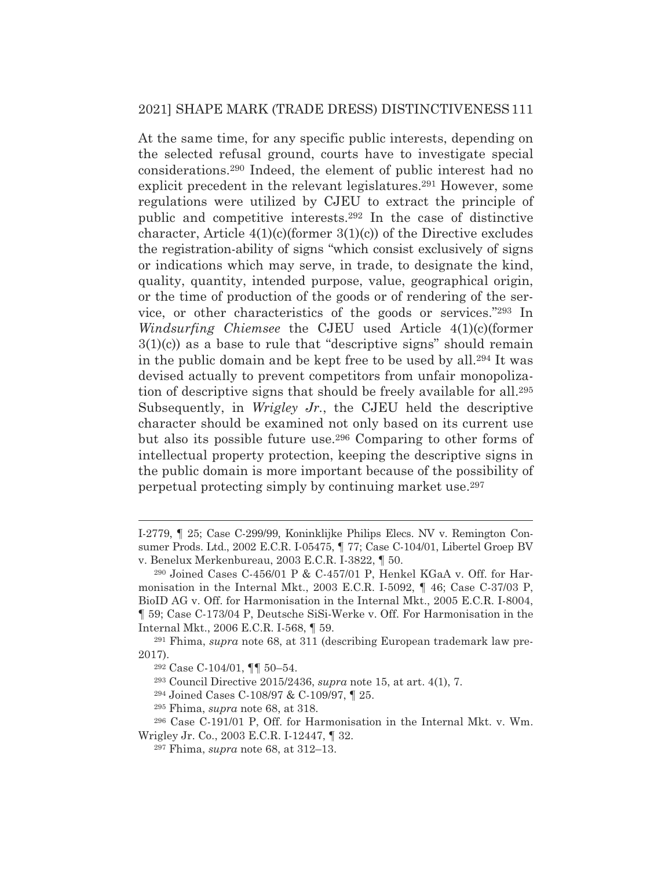At the same time, for any specific public interests, depending on the selected refusal ground, courts have to investigate special considerations.290 Indeed, the element of public interest had no explicit precedent in the relevant legislatures.<sup>291</sup> However, some regulations were utilized by CJEU to extract the principle of public and competitive interests.292 In the case of distinctive character, Article  $4(1)(c)$ (former  $3(1)(c)$ ) of the Directive excludes the registration-ability of signs "which consist exclusively of signs or indications which may serve, in trade, to designate the kind, quality, quantity, intended purpose, value, geographical origin, or the time of production of the goods or of rendering of the service, or other characteristics of the goods or services."293 In *Windsurfing Chiemsee* the CJEU used Article 4(1)(c)(former 3(1)(c)) as a base to rule that "descriptive signs" should remain in the public domain and be kept free to be used by all.294 It was devised actually to prevent competitors from unfair monopolization of descriptive signs that should be freely available for all.295 Subsequently, in *Wrigley Jr.*, the CJEU held the descriptive character should be examined not only based on its current use but also its possible future use.296 Comparing to other forms of intellectual property protection, keeping the descriptive signs in the public domain is more important because of the possibility of perpetual protecting simply by continuing market use.297

293 Council Directive 2015/2436, *supra* note 15, at art. 4(1), 7.

294 Joined Cases C-108/97 & C-109/97, ¶ 25.

I-2779, ¶ 25; Case C-299/99, Koninklijke Philips Elecs. NV v. Remington Consumer Prods. Ltd., 2002 E.C.R. I-05475, ¶ 77; Case C-104/01, Libertel Groep BV v. Benelux Merkenbureau, 2003 E.C.R. I-3822, ¶ 50.

<sup>290</sup> Joined Cases C-456/01 P & C-457/01 P, Henkel KGaA v. Off. for Harmonisation in the Internal Mkt., 2003 E.C.R. I-5092, ¶ 46; Case C-37/03 P, BioID AG v. Off. for Harmonisation in the Internal Mkt., 2005 E.C.R. I-8004, ¶ 59; Case C-173/04 P, Deutsche SiSi-Werke v. Off. For Harmonisation in the Internal Mkt., 2006 E.C.R. I-568, ¶ 59.

<sup>291</sup> Fhima, *supra* note 68, at 311 (describing European trademark law pre-2017).

<sup>292</sup> Case C-104/01, ¶¶ 50–54.

<sup>295</sup> Fhima, *supra* note 68, at 318.

<sup>296</sup> Case C-191/01 P, Off. for Harmonisation in the Internal Mkt. v. Wm. Wrigley Jr. Co., 2003 E.C.R. I-12447, ¶ 32.

<sup>297</sup> Fhima, *supra* note 68, at 312–13.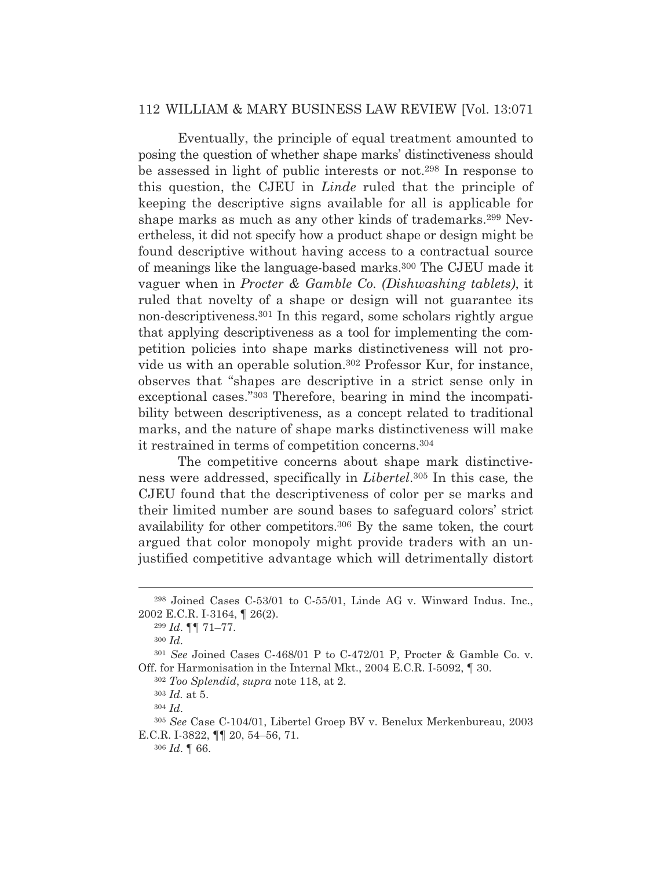Eventually, the principle of equal treatment amounted to posing the question of whether shape marks' distinctiveness should be assessed in light of public interests or not.298 In response to this question, the CJEU in *Linde* ruled that the principle of keeping the descriptive signs available for all is applicable for shape marks as much as any other kinds of trademarks.299 Nevertheless, it did not specify how a product shape or design might be found descriptive without having access to a contractual source of meanings like the language-based marks.300 The CJEU made it vaguer when in *Procter & Gamble Co. (Dishwashing tablets)*, it ruled that novelty of a shape or design will not guarantee its non-descriptiveness.301 In this regard, some scholars rightly argue that applying descriptiveness as a tool for implementing the competition policies into shape marks distinctiveness will not provide us with an operable solution.302 Professor Kur, for instance, observes that "shapes are descriptive in a strict sense only in exceptional cases."303 Therefore, bearing in mind the incompatibility between descriptiveness, as a concept related to traditional marks, and the nature of shape marks distinctiveness will make it restrained in terms of competition concerns.304

 The competitive concerns about shape mark distinctiveness were addressed, specifically in *Libertel*.305 In this case*,* the CJEU found that the descriptiveness of color per se marks and their limited number are sound bases to safeguard colors' strict availability for other competitors.306 By the same token, the court argued that color monopoly might provide traders with an unjustified competitive advantage which will detrimentally distort

<sup>298</sup> Joined Cases C-53/01 to C-55/01, Linde AG v. Winward Indus. Inc., 2002 E.C.R. I-3164, ¶ 26(2).

<sup>299</sup> *Id*. ¶¶ 71–77.

<sup>300</sup> *Id*.

<sup>301</sup> *See* Joined Cases C-468/01 P to C-472/01 P, Procter & Gamble Co. v. Off. for Harmonisation in the Internal Mkt., 2004 E.C.R. I-5092, ¶ 30.

<sup>302</sup> *Too Splendid*, *supra* note 118, at 2.

<sup>303</sup> *Id.* at 5.

<sup>304</sup> *Id*.

<sup>305</sup> *See* Case C-104/01, Libertel Groep BV v. Benelux Merkenbureau, 2003 E.C.R. I-3822, ¶¶ 20, 54–56, 71.

<sup>306</sup> *Id*. ¶ 66.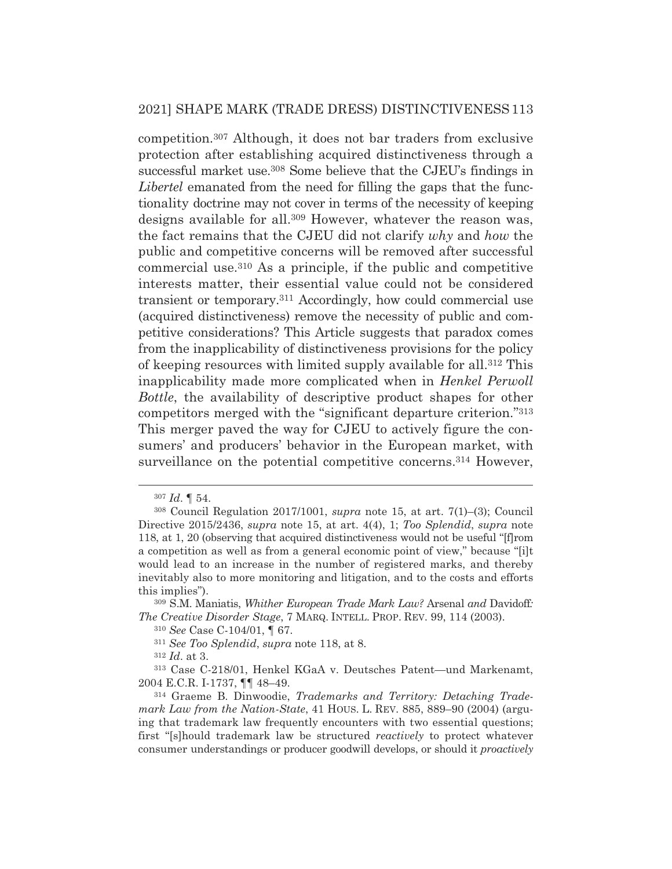competition.307 Although, it does not bar traders from exclusive protection after establishing acquired distinctiveness through a successful market use.308 Some believe that the CJEU's findings in *Libertel* emanated from the need for filling the gaps that the functionality doctrine may not cover in terms of the necessity of keeping designs available for all.309 However, whatever the reason was, the fact remains that the CJEU did not clarify *why* and *how* the public and competitive concerns will be removed after successful commercial use.310 As a principle, if the public and competitive interests matter, their essential value could not be considered transient or temporary.311 Accordingly, how could commercial use (acquired distinctiveness) remove the necessity of public and competitive considerations? This Article suggests that paradox comes from the inapplicability of distinctiveness provisions for the policy of keeping resources with limited supply available for all.312 This inapplicability made more complicated when in *Henkel Perwoll Bottle*, the availability of descriptive product shapes for other competitors merged with the "significant departure criterion."313 This merger paved the way for CJEU to actively figure the consumers' and producers' behavior in the European market, with surveillance on the potential competitive concerns.<sup>314</sup> However,

<sup>307</sup> *Id*. ¶ 54.

<sup>308</sup> Council Regulation 2017/1001, *supra* note 15, at art. 7(1)–(3); Council Directive 2015/2436, *supra* note 15, at art. 4(4), 1; *Too Splendid*, *supra* note 118, at 1, 20 (observing that acquired distinctiveness would not be useful "[f]rom a competition as well as from a general economic point of view," because "[i]t would lead to an increase in the number of registered marks, and thereby inevitably also to more monitoring and litigation, and to the costs and efforts this implies").

<sup>309</sup> S.M. Maniatis, *Whither European Trade Mark Law?* Arsenal *and* Davidoff*: The Creative Disorder Stage*, 7 MARQ. INTELL. PROP. REV. 99, 114 (2003).

<sup>310</sup> *See* Case C-104/01, ¶ 67.

<sup>311</sup> *See Too Splendid*, *supra* note 118, at 8.

<sup>312</sup> *Id*. at 3.

<sup>313</sup> Case C-218/01, Henkel KGaA v. Deutsches Patent—und Markenamt, 2004 E.C.R. I-1737, ¶¶ 48–49.

<sup>314</sup> Graeme B. Dinwoodie, *Trademarks and Territory: Detaching Trademark Law from the Nation-State*, 41 HOUS. L. REV. 885, 889–90 (2004) (arguing that trademark law frequently encounters with two essential questions; first "[s]hould trademark law be structured *reactively* to protect whatever consumer understandings or producer goodwill develops, or should it *proactively*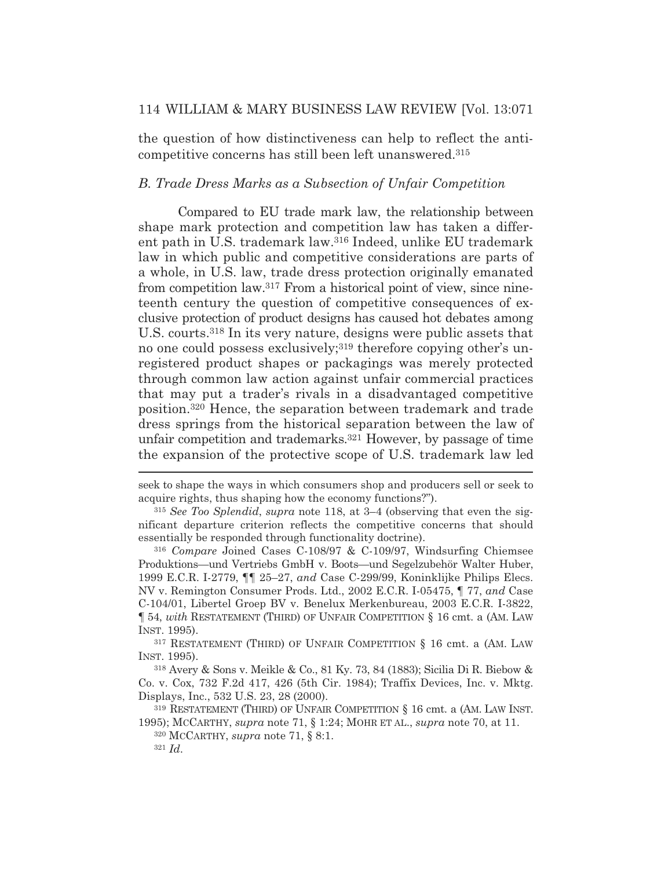the question of how distinctiveness can help to reflect the anticompetitive concerns has still been left unanswered.315

#### *B. Trade Dress Marks as a Subsection of Unfair Competition*

Compared to EU trade mark law, the relationship between shape mark protection and competition law has taken a different path in U.S. trademark law.316 Indeed, unlike EU trademark law in which public and competitive considerations are parts of a whole, in U.S. law, trade dress protection originally emanated from competition law.317 From a historical point of view, since nineteenth century the question of competitive consequences of exclusive protection of product designs has caused hot debates among U.S. courts.318 In its very nature, designs were public assets that no one could possess exclusively;<sup>319</sup> therefore copying other's unregistered product shapes or packagings was merely protected through common law action against unfair commercial practices that may put a trader's rivals in a disadvantaged competitive position.320 Hence, the separation between trademark and trade dress springs from the historical separation between the law of unfair competition and trademarks.321 However, by passage of time the expansion of the protective scope of U.S. trademark law led

317 RESTATEMENT (THIRD) OF UNFAIR COMPETITION § 16 cmt. a (AM. LAW INST. 1995).

318 Avery & Sons v. Meikle & Co., 81 Ky. 73, 84 (1883); Sicilia Di R. Biebow & Co. v. Cox, 732 F.2d 417, 426 (5th Cir. 1984); Traffix Devices, Inc. v. Mktg. Displays, Inc., 532 U.S. 23, 28 (2000).

319 RESTATEMENT (THIRD) OF UNFAIR COMPETITION § 16 cmt. a (AM. LAW INST. 1995); MCCARTHY, *supra* note 71, § 1:24; MOHR ET AL., *supra* note 70, at 11.

320 MCCARTHY, *supra* note 71, § 8:1.

seek to shape the ways in which consumers shop and producers sell or seek to acquire rights, thus shaping how the economy functions?").

<sup>315</sup> *See Too Splendid*, *supra* note 118, at 3–4 (observing that even the significant departure criterion reflects the competitive concerns that should essentially be responded through functionality doctrine).

<sup>316</sup> *Compare* Joined Cases C-108/97 & C-109/97, Windsurfing Chiemsee Produktions—und Vertriebs GmbH v. Boots—und Segelzubehör Walter Huber, 1999 E.C.R. I-2779, ¶¶ 25–27, *and* Case C-299/99, Koninklijke Philips Elecs. NV v. Remington Consumer Prods. Ltd., 2002 E.C.R. I-05475, ¶ 77, *and* Case C-104/01, Libertel Groep BV v. Benelux Merkenbureau, 2003 E.C.R. I-3822, ¶ 54, *with* RESTATEMENT (THIRD) OF UNFAIR COMPETITION § 16 cmt. a (AM. LAW INST. 1995).

<sup>321</sup> *Id*.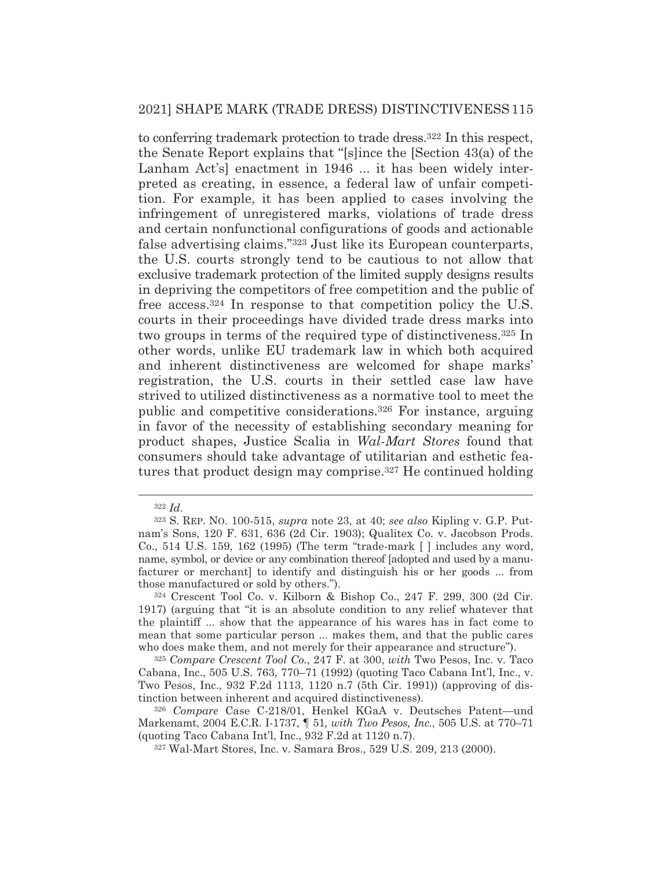to conferring trademark protection to trade dress.322 In this respect, the Senate Report explains that "[s]ince the [Section 43(a) of the Lanham Act's] enactment in 1946 ... it has been widely interpreted as creating, in essence, a federal law of unfair competition. For example, it has been applied to cases involving the infringement of unregistered marks, violations of trade dress and certain nonfunctional configurations of goods and actionable false advertising claims."323 Just like its European counterparts, the U.S. courts strongly tend to be cautious to not allow that exclusive trademark protection of the limited supply designs results in depriving the competitors of free competition and the public of free access.324 In response to that competition policy the U.S. courts in their proceedings have divided trade dress marks into two groups in terms of the required type of distinctiveness.325 In other words, unlike EU trademark law in which both acquired and inherent distinctiveness are welcomed for shape marks' registration, the U.S. courts in their settled case law have strived to utilized distinctiveness as a normative tool to meet the public and competitive considerations.326 For instance, arguing in favor of the necessity of establishing secondary meaning for product shapes, Justice Scalia in *Wal-Mart Stores* found that consumers should take advantage of utilitarian and esthetic features that product design may comprise.327 He continued holding

<sup>322</sup> *Id*.

<sup>323</sup> S. REP. NO. 100-515, *supra* note 23, at 40; *see also* Kipling v. G.P. Putnam's Sons, 120 F. 631, 636 (2d Cir. 1903); Qualitex Co. v. Jacobson Prods. Co., 514 U.S. 159, 162 (1995) (The term "trade-mark [ ] includes any word, name, symbol, or device or any combination thereof [adopted and used by a manufacturer or merchant] to identify and distinguish his or her goods ... from those manufactured or sold by others.").

<sup>324</sup> Crescent Tool Co. v. Kilborn & Bishop Co., 247 F. 299, 300 (2d Cir. 1917) (arguing that "it is an absolute condition to any relief whatever that the plaintiff ... show that the appearance of his wares has in fact come to mean that some particular person ... makes them, and that the public cares who does make them, and not merely for their appearance and structure").

<sup>325</sup> *Compare Crescent Tool Co.*, 247 F. at 300, *with* Two Pesos, Inc. v. Taco Cabana, Inc., 505 U.S. 763, 770–71 (1992) (quoting Taco Cabana Int'l, Inc., v. Two Pesos, Inc., 932 F.2d 1113, 1120 n.7 (5th Cir. 1991)) (approving of distinction between inherent and acquired distinctiveness).

<sup>326</sup> *Compare* Case C-218/01, Henkel KGaA v. Deutsches Patent—und Markenamt, 2004 E.C.R. I-1737, ¶ 51*, with Two Pesos, Inc.*, 505 U.S. at 770–71 (quoting Taco Cabana Int'l, Inc., 932 F.2d at 1120 n.7).

<sup>327</sup> Wal-Mart Stores, Inc. v. Samara Bros., 529 U.S. 209, 213 (2000).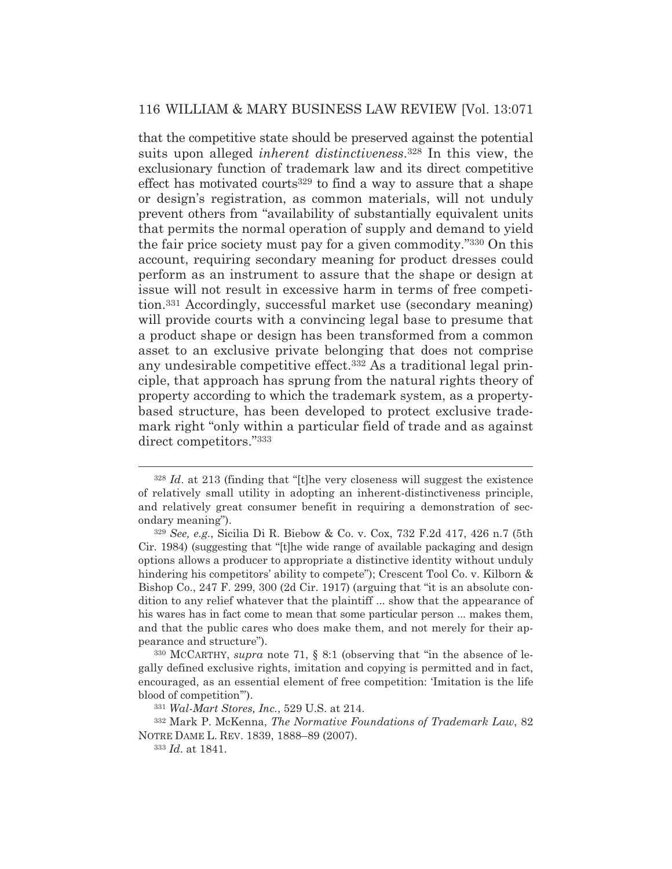that the competitive state should be preserved against the potential suits upon alleged *inherent distinctiveness*.328 In this view, the exclusionary function of trademark law and its direct competitive effect has motivated courts<sup>329</sup> to find a way to assure that a shape or design's registration, as common materials, will not unduly prevent others from "availability of substantially equivalent units that permits the normal operation of supply and demand to yield the fair price society must pay for a given commodity."330 On this account, requiring secondary meaning for product dresses could perform as an instrument to assure that the shape or design at issue will not result in excessive harm in terms of free competition.331 Accordingly, successful market use (secondary meaning) will provide courts with a convincing legal base to presume that a product shape or design has been transformed from a common asset to an exclusive private belonging that does not comprise any undesirable competitive effect.<sup>332</sup> As a traditional legal principle, that approach has sprung from the natural rights theory of property according to which the trademark system, as a propertybased structure, has been developed to protect exclusive trademark right "only within a particular field of trade and as against direct competitors."333

<sup>328</sup> *Id*. at 213 (finding that "[t]he very closeness will suggest the existence of relatively small utility in adopting an inherent-distinctiveness principle, and relatively great consumer benefit in requiring a demonstration of secondary meaning").

<sup>329</sup> *See, e.g.*, Sicilia Di R. Biebow & Co. v. Cox, 732 F.2d 417, 426 n.7 (5th Cir. 1984) (suggesting that "[t]he wide range of available packaging and design options allows a producer to appropriate a distinctive identity without unduly hindering his competitors' ability to compete"); Crescent Tool Co. v. Kilborn & Bishop Co., 247 F. 299, 300 (2d Cir. 1917) (arguing that "it is an absolute condition to any relief whatever that the plaintiff ... show that the appearance of his wares has in fact come to mean that some particular person ... makes them, and that the public cares who does make them, and not merely for their appearance and structure").

<sup>330</sup> MCCARTHY, *supra* note 71, § 8:1 (observing that "in the absence of legally defined exclusive rights, imitation and copying is permitted and in fact, encouraged, as an essential element of free competition: 'Imitation is the life blood of competition'").

<sup>331</sup> *Wal-Mart Stores, Inc.*, 529 U.S. at 214.

<sup>332</sup> Mark P. McKenna, *The Normative Foundations of Trademark Law*, 82 NOTRE DAME L. REV. 1839, 1888–89 (2007).

<sup>333</sup> *Id*. at 1841.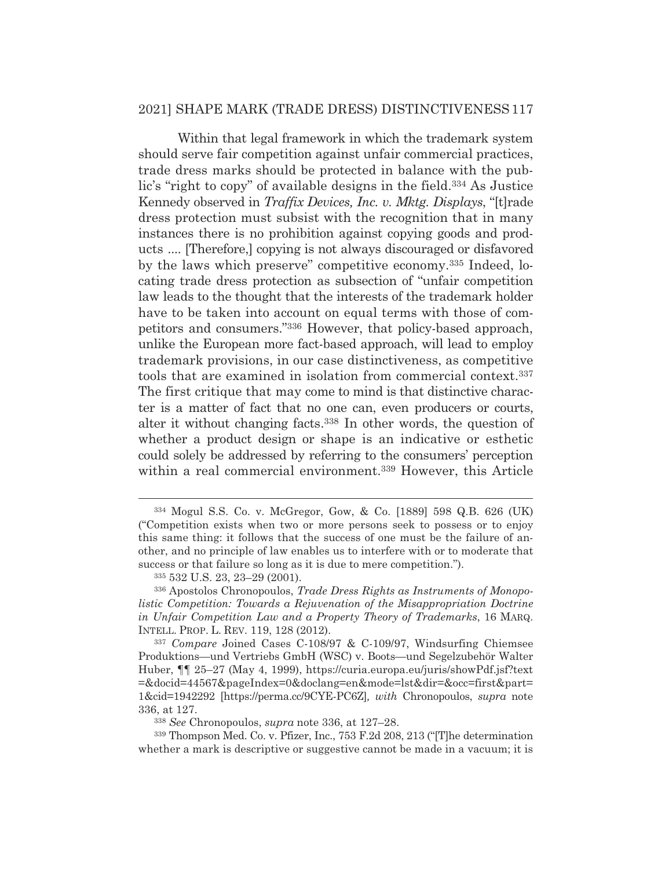Within that legal framework in which the trademark system should serve fair competition against unfair commercial practices, trade dress marks should be protected in balance with the public's "right to copy" of available designs in the field.334 As Justice Kennedy observed in *Traffix Devices, Inc. v. Mktg. Displays*, "[t]rade dress protection must subsist with the recognition that in many instances there is no prohibition against copying goods and products .... [Therefore,] copying is not always discouraged or disfavored by the laws which preserve" competitive economy.335 Indeed, locating trade dress protection as subsection of "unfair competition law leads to the thought that the interests of the trademark holder have to be taken into account on equal terms with those of competitors and consumers."336 However, that policy-based approach, unlike the European more fact-based approach, will lead to employ trademark provisions, in our case distinctiveness, as competitive tools that are examined in isolation from commercial context.337 The first critique that may come to mind is that distinctive character is a matter of fact that no one can, even producers or courts, alter it without changing facts.338 In other words, the question of whether a product design or shape is an indicative or esthetic could solely be addressed by referring to the consumers' perception within a real commercial environment.<sup>339</sup> However, this Article

<sup>334</sup> Mogul S.S. Co. v. McGregor, Gow, & Co. [1889] 598 Q.B. 626 (UK) ("Competition exists when two or more persons seek to possess or to enjoy this same thing: it follows that the success of one must be the failure of another, and no principle of law enables us to interfere with or to moderate that success or that failure so long as it is due to mere competition.").

<sup>335 532</sup> U.S. 23, 23–29 (2001).

<sup>336</sup> Apostolos Chronopoulos, *Trade Dress Rights as Instruments of Monopolistic Competition: Towards a Rejuvenation of the Misappropriation Doctrine in Unfair Competition Law and a Property Theory of Trademarks*, 16 MARQ. INTELL. PROP. L. REV. 119, 128 (2012).

<sup>337</sup> *Compare* Joined Cases C-108/97 & C-109/97, Windsurfing Chiemsee Produktions—und Vertriebs GmbH (WSC) v. Boots—und Segelzubehör Walter Huber, ¶¶ 25–27 (May 4, 1999), https://curia.europa.eu/juris/showPdf.jsf?text =&docid=44567&pageIndex=0&doclang=en&mode=lst&dir=&occ=first&part= 1&cid=1942292 [https://perma.cc/9CYE-PC6Z]*, with* Chronopoulos, *supra* note 336, at 127.

<sup>338</sup> *See* Chronopoulos, *supra* note 336, at 127–28.

<sup>339</sup> Thompson Med. Co. v. Pfizer, Inc., 753 F.2d 208, 213 ("[T]he determination whether a mark is descriptive or suggestive cannot be made in a vacuum; it is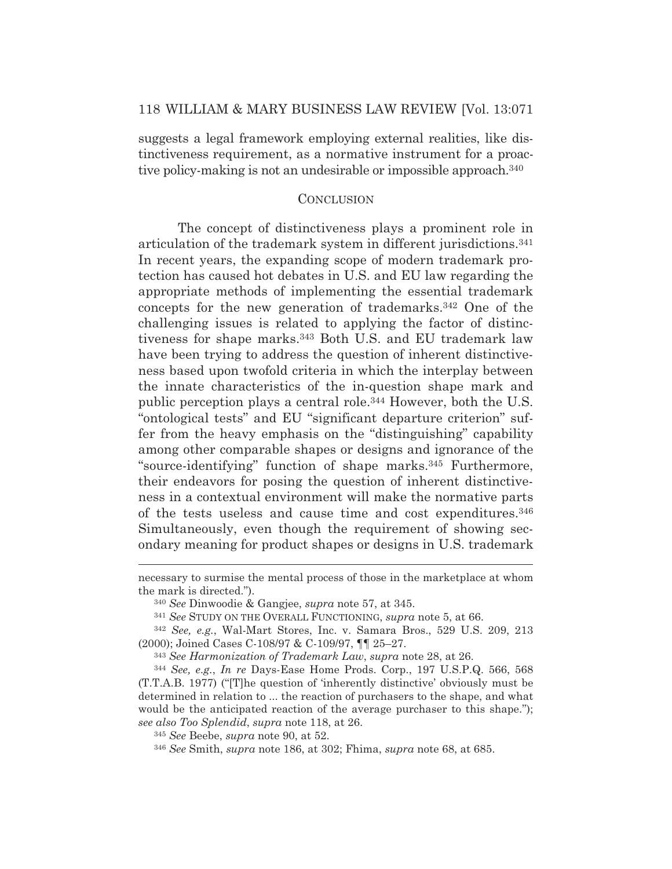suggests a legal framework employing external realities, like distinctiveness requirement, as a normative instrument for a proactive policy-making is not an undesirable or impossible approach.340

#### **CONCLUSION**

The concept of distinctiveness plays a prominent role in articulation of the trademark system in different jurisdictions.341 In recent years, the expanding scope of modern trademark protection has caused hot debates in U.S. and EU law regarding the appropriate methods of implementing the essential trademark concepts for the new generation of trademarks.342 One of the challenging issues is related to applying the factor of distinctiveness for shape marks.343 Both U.S. and EU trademark law have been trying to address the question of inherent distinctiveness based upon twofold criteria in which the interplay between the innate characteristics of the in-question shape mark and public perception plays a central role.344 However, both the U.S. "ontological tests" and EU "significant departure criterion" suffer from the heavy emphasis on the "distinguishing" capability among other comparable shapes or designs and ignorance of the "source-identifying" function of shape marks.345 Furthermore, their endeavors for posing the question of inherent distinctiveness in a contextual environment will make the normative parts of the tests useless and cause time and cost expenditures.346 Simultaneously, even though the requirement of showing secondary meaning for product shapes or designs in U.S. trademark

necessary to surmise the mental process of those in the marketplace at whom the mark is directed.").

<sup>340</sup> *See* Dinwoodie & Gangjee, *supra* note 57, at 345.

<sup>341</sup> *See* STUDY ON THE OVERALL FUNCTIONING, *supra* note 5, at 66.

<sup>342</sup> *See, e.g.*, Wal-Mart Stores, Inc. v. Samara Bros., 529 U.S. 209, 213 (2000); Joined Cases C-108/97 & C-109/97, ¶¶ 25–27.

<sup>343</sup> *See Harmonization of Trademark Law*, *supra* note 28, at 26.

<sup>344</sup> *See, e.g.*, *In re* Days-Ease Home Prods. Corp., 197 U.S.P.Q. 566, 568 (T.T.A.B. 1977) ("[T]he question of 'inherently distinctive' obviously must be determined in relation to ... the reaction of purchasers to the shape, and what would be the anticipated reaction of the average purchaser to this shape."); *see also Too Splendid*, *supra* note 118, at 26.

<sup>345</sup> *See* Beebe, *supra* note 90, at 52.

<sup>346</sup> *See* Smith, *supra* note 186, at 302; Fhima, *supra* note 68, at 685.